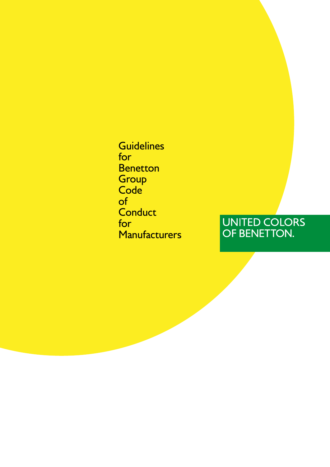**Guidelines** for **Benetton Group** Code<sup>'</sup> of **Conduct** for **Manufacturers** 

# UNITED COLORS<br>OF BENETTON.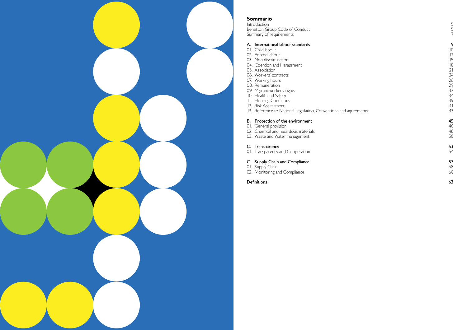Introduction Benetton Group Code of Conduct Summary of requirements



### Sommario

### A. International labour standards

- 
- 01. Child labour 10<br>02. Forced labour 12
- 02. Forced labour 12<br>
03. Non discrimination 15
- 03. Non discrimination 15<br>04. Coercion and Harassment 18 04. Coercion and Harassment 18<br>05. Association 18
- 
- 05. Association 21<br>06. Workers' contracts 24 06. Workers' contracts 24<br>07. Working hours 26
- 07. Working hours 26 and 20 and 20 and 20 and 20 and 20 and 20 and 20 and 20 and 20 and 20 and 20 and 20 and 2<br>08. Remuneration 29
- 08. Remuneration 29
- 09. Migrant workers' rights 32
- 
- 10. Health and Safety 34<br>11. Housing Conditions 39 11. Housing Conditions 39
- 12. Risk Assessment 41
- 13. Reference to National Legislation, Conventions and agreements 43

## **B.** Protection of the environment 45<br>
01. General provision 46

- 
- 01. General provision 46<br>02. Chemical and hazardous materials express to the set of the set of the set of the set of the 48 02. Chemical and hazardous materials (1988) 2008 12:00 12:00 12:00 12:00 12:00 12:00 12:00 12:00 13:00 13:00 1<br>03. Waste and Water management
- 02. Shermed and nace is seen management

**C. Transparency** 53<br>
01. Transparency and Cooperation 01. Transparency and Cooperation

## C. Supply Chain and Compliance<br>
01. Supply Chain 58

- 01. Supply Chain 58
- 02. Monitoring and Compliance 60

#### Definitions 63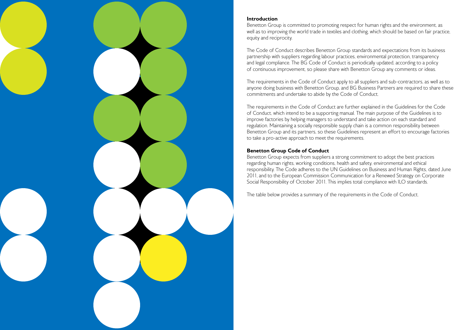

### Introduction

Benetton Group is committed to promoting respect for human rights and the environment, as well as to improving the world trade in textiles and clothing, which should be based on fair practice, equity and reciprocity.

The Code of Conduct describes Benetton Group standards and expectations from its business partnership with suppliers regarding labour practices, environmental protection, transparency and legal compliance. The BG Code of Conduct is periodically updated, according to a policy of continuous improvement, so please share with Benetton Group any comments or ideas.

The requirements in the Code of Conduct apply to all suppliers and sub-contractors, as well as to anyone doing business with Benetton Group, and BG Business Partners are required to share these commitments and undertake to abide by the Code of Conduct.

The requirements in the Code of Conduct are further explained in the Guidelines for the Code of Conduct, which intend to be a supporting manual. The main purpose of the Guidelines is to improve factories by helping managers to understand and take action on each standard and regulation. Maintaining a socially responsible supply chain is a common responsibility between Benetton Group and its partners, so these Guidelines represent an effort to encourage factories to take a pro-active approach to meet the requirements.

### Benetton Group Code of Conduct

Benetton Group expects from suppliers a strong commitment to adopt the best practices regarding human rights, working conditions, health and safety, environmental and ethical responsibility. The Code adheres to the UN Guidelines on Business and Human Rights, dated June 2011, and to the European Commission Communication for a Renewed Strategy on Corporate Social Responsibility of October 2011. This implies total compliance with ILO standards.

The table below provides a summary of the requirements in the Code of Conduct.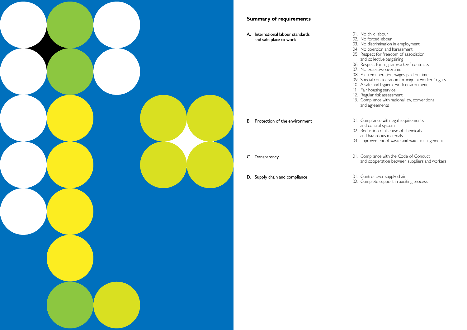

### Summary of requirements

A. International labour standards and safe place to work

- B. Protection of the environment
- C. Transparency
- D. Supply chain and compliance
- 01. No child labour
- 02. No forced labour
- 03. No discrimination in employment
- 04. No coercion and harassment
- 05. Respect for freedom of association and collective bargaining
- 06. Respect for regular workers' contracts
- 07. No excessive overtime
- 08. Fair remuneration, wages paid on time
- 09. Special consideration for migrant workers' rights
- 10. A safe and hygienic work environment
- 11. Fair housing service
- 12. Regular risk assessment
- 13. Compliance with national law, conventions and agreements
- 01. Compliance with legal requirements and control system
- 02. Reduction of the use of chemicals and hazardous materials
- 03. Improvement of waste and water management
- 01. Compliance with the Code of Conduct and cooperation between suppliers and workers
- 01. Control over supply chain
- 02. Complete support in auditing process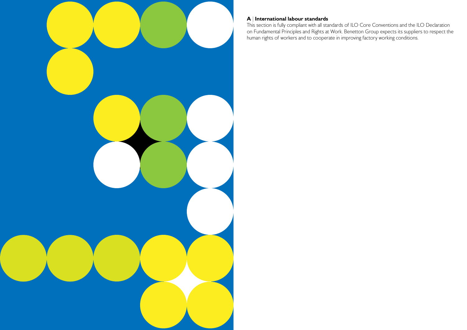

### A | International labour standards

This section is fully compliant with all standards of ILO Core Conventions and the ILO Declaration on Fundamental Principles and Rights at Work. Benetton Group expects its suppliers to respect the human rights of workers and to cooperate in improving factory working conditions.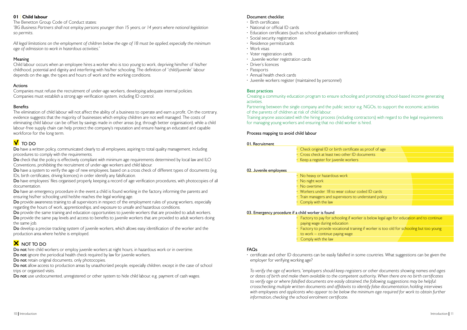### Document checklist

- Birth certificates
- National or official ID cards
- Education certificates (such as school graduation certificates)
- Social security registration
- Residence permits/cards
- Work visas
- Voter registration cards
- Juvenile worker registration cards
- Driver's licences
- Passports
- Annual health check cards
- Juvenile workers register (maintained by personnel)

### Best practices

Creating a community education program to ensure schooling and promoting school-based income generating activities.

Partnering between the single company and the public sector e.g. NGOs, to support the economic activities of the parents of children at risk of child labour.

> Factory to pay for schooling if worker is below legal age for education and to continue paying wage during education • Factory to provide vocational training if worker is too old for schooling but too young to work – continue paying wage

Training anyone associated with the hiring process (including contractors) with regard to the legal requirements for managing young workers and ensuring that no child worker is hired.

### Process mapping to avoid child labour

01. Recruitment

| • Check original ID or birth certificate as proof of age |  |
|----------------------------------------------------------|--|
| $\cdot$ Cross check at least two other ID documents      |  |
| Keep a register for juvenile workers                     |  |

| 02. Juvenile employees |  |
|------------------------|--|
|                        |  |

| No heavy or hazardous work                          |  |
|-----------------------------------------------------|--|
| No night work                                       |  |
| No overtime                                         |  |
| • Workers under 18 to wear colour coded ID cards    |  |
| Train managers and supervisors to understand policy |  |
| • Comply with the law                               |  |

### 03. Emergency procedure if a child worker is found

• Comply with the law

### FAQs

• certificate and other ID documents can be easily falsified in some countries. What suggestions can be given the employer for verifying working age?

Do have a written policy, communicated clearly to all employees, aspiring to total quality management, including procedures to comply with the requirements.

Do check that the policy is effectively compliant with minimum age requirements determined by local law and ILO Conventions, prohibiting the recruitment of under-age workers and child labour.

> *To verify the age of workers, "employers should keep registers or other documents showing names and ages or dates of birth and make them available to the competent authority. When there are no birth certificates to verify age or where falsified documents are easily obtained, the following suggestions may be helpful: crosschecking multiple written documents and affidavits to identify false documentation, holding interviews*  with employees and applicants who appear to be below the minimum age required for work to obtain further *information, checking the school enrolment certificate.*

Do have a system to verify the age of new employees, based on a cross check of different types of documents (e.g. IDs, birth certificates, driving licences) in order identify any falsification.

Do have employees' files organised properly, keeping a record of age verification procedures, with photocopies of all documentation.

Do have an emergency procedure in the event a child is found working in the factory, informing the parents and ensuring his/her schooling until he/she reaches the legal working age.

### 01 | Child labour

The Benetton Group Code of Conduct states:

*"BG Business Partners shall not employ persons younger than 15 years, or 14 years where national legislation so permits.* 

Do provide the same training and education opportunities to juvenile workers that are provided to adult workers. Do provide the same pay levels and access to benefits to juvenile workers that are provided to adult workers doing the same job.

Do develop a precise tracking system of juvenile workers, which allows easy identification of the worker and the production area where he/she is employed.

### **X** NOT TO DO

*All legal limitations on the employment of children below the age of 18 must be applied, especially the minimum age of admission to work in hazardous activities."*

Do not hire child workers or employ juvenile workers at night hours, in hazardous work or in overtime. Do not ignore the periodical health check required by law for juvenile workers.

Do not retain original documents, only photocopies.

### Meaning

Do not allow access to production areas by unauthorized people, especially children, except in the case of school trips or organised visits.

Do not use undocumented, unregistered or other system to hide child labour, e.g. payment of cash wages.

Child labour occurs when an employee hires a worker who is too young to work, depriving him/her of his/her childhood, potential and dignity and interfering with his/her schooling. The definition of "child/juvenile" labour depends on the age, the types and hours of work and the working conditions.

### Actions

Companies must refuse the recruitment of under-age workers, developing adequate internal policies. Companies must establish a strong age verification system, including ID control.

### **Benefits**

The elimination of child labour will not affect the ability of a business to operate and earn a profit. On the contrary, evidence suggests that the majority of businesses which employ children are not well managed. The costs of eliminating child labour can be offset by savings made in other areas (e.g. through better organisation), while a child labour-free supply chain can help protect the company's reputation and ensure having an educated and capable workforce for the long term.

### **V** TO DO

Do provide awareness training to all supervisors in respect of the employment rules of young workers, especially regarding the hours of work, apprenticeships, and exposure to unsafe and hazardous conditions.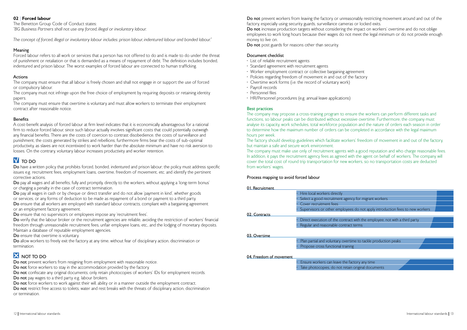### 02 | Forced labour

The Benetton Group Code of Conduct states: *"BG Business Partners shall not use any forced, illegal or involuntary labour.* 

*The concept of forced, illegal or involuntary labour includes: prison labour, indentured labour and bonded labour."*

### Meaning

Forced labour refers to all work or services that a person has not offered to do and is made to do under the threat of punishment or retaliation or that is demanded as a means of repayment of debt. The definition includes bonded, indentured and prison labour. The worst examples of forced labour are connected to human trafficking.

### Actions

The company must ensure that all labour is freely chosen and shall not engage in or support the use of forced or compulsory labour.

The company must not infringe upon the free choice of employment by requiring deposits or retaining identity papers.

Do have a written policy that prohibits forced, bonded, indentured and prison labour; the policy must address specific issues e.g. recruitment fees, employment loans, overtime, freedom of movement, etc. and identify the pertinent corrective actions.

The company must ensure that overtime is voluntary and must allow workers to terminate their employment contract after reasonable notice.

### **Benefits**

Do pay all wages and all benefits, fully and promptly, directly to the workers, without applying a 'long-term bonus' or charging a penalty in the case of contract termination.

Do pay all wages in cash or by cheque or direct transfer and do not allow 'payment in kind', whether goods or services, or any forms of deduction to be made as repayment of a bond or payment to a third party. Do ensure that all workers are employed with standard labour contracts, compliant with a bargaining agreement or an employment factory agreement.

A cost-benefit analysis of forced labour at firm level indicates that it is economically advantageous for a rational firm to reduce forced labour, since such labour actually involves significant costs that could potentially outweigh any financial benefits. There are the costs of coercion to contrast disobedience, the costs of surveillance and punishment, the costs generated by strikes and rebellions; furthermore firms bear the costs of sub-optimal productivity, as slaves are not incentivized to work harder than the absolute minimum and have no risk aversion to losses. On the contrary, voluntary labour increases productivity and worker retention.

### **TO DO**

Do verify that the labour broker or the recruitment agencies are reliable, avoiding the restriction of workers' financial freedom through unreasonable recruitment fees, unfair employee loans, etc., and the lodging of monetary deposits. Maintain a database of reputable employment agencies.

Do ensure that overtime is voluntary.

Do allow workers to freely exit the factory at any time, without fear of disciplinary action, discrimination or termination.

### **X** NOT TO DO

Do not prevent workers from resigning from employment with reasonable notice.

Do not restrict free access to toilets, water and rest breaks with the threats of disciplinary action, discrimination or termination.

Do not prevent workers from leaving the factory or unreasonably restricting movement around and out of the factory, especially using security guards, surveillance cameras or locked exits. Do not increase production targets without considering the impact on workers' overtime and do not oblige employees to work long hours because their wages do not meet the legal minimum or do not provide enough money to live on.

Do not post guards for reasons other than security.

Do ensure that no supervisors or employees impose any 'recruitment fees'.

• Ensure workers can leave the factory any time Take photocopies, do not retain original documents

Do not force workers to stay in the accommodation provided by the factory.

Do not confiscate any original documents; only retain photocopies of workers' IDs for employment records. Do not pay wages to a third party e.g. labour brokers.

Do not force workers to work against their will, ability or in a manner outside the employment contract.

### Document checklist

- List of reliable recruitment agents
- Standard agreement with recruitment agents
- Worker employment contract or collective bargaining agreement
- Policies regarding freedom of movement in and out of the factory
- Overtime work forms (i.e. the record of voluntary work)
- Payroll records
- Personnel files
- HR/Personnel procedures (e.g. annual leave applications)

### Best practices

The company may propose a cross-training program to ensure the workers can perform different tasks and functions, so labour peaks can be distributed without excessive overtime. Furthermore, the company must analyse its capacity, work schedules, total workforce population and the nature of orders each season in order to determine how the maximum number of orders can be completed in accordance with the legal maximum hours per week.

The factory should develop guidelines which facilitate workers' freedom of movement in and out of the factory, but maintain a safe and secure work environment.

The company must make use only of recruitment agents with a good reputation and who charge reasonable fees. In addition, it pays the recruitment agency fees as agreed with the agent on behalf of workers. The company will cover the total cost of round trip transportation for new workers, so no transportation costs are deducted from workers' wages.

### Process mapping to avoid forced labour



| 01. Recruitment         |                                    |
|-------------------------|------------------------------------|
|                         | Hire local workers directly        |
|                         | Select a good recruitment agency   |
|                         | Cover recruitment fees             |
|                         | Supervisors or other employees     |
| 02. Contracts           |                                    |
|                         | Direct execution of the contract   |
|                         | Regular and reasonable contract    |
|                         |                                    |
| 03. Overtime            |                                    |
|                         | Plan partial and voluntary overtin |
|                         | Propose cross functional training  |
|                         |                                    |
| 04. Freedom of movement |                                    |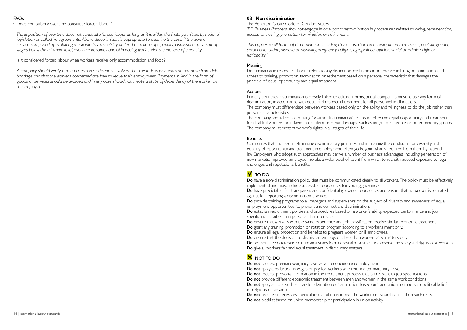### FAQs

• Does compulsory overtime constitute forced labour?

 *The imposition of overtime does not constitute forced labour as long as it is within the limits permitted by national legislation or collective agreements. Above those limits, it is appropriate to examine the case: if the work or service is imposed by exploiting the worker's vulnerability, under the menace of a penalty, dismissal or payment of wages below the minimum level, overtime becomes one of imposing work under the menace of a penalty.*

• Is it considered forced labour when workers receive only accommodation and food?

 *A company should verify that no coercion or threat is involved, that the in-kind payments do not arise from debt bondage and that the workers concerned are free to leave their employment. Payments in kind in the form of goods or services should be avoided and in any case should not create a state of dependency of the worker on the employer.*

### 03 | Non discrimination

The Benetton Group Code of Conduct states: *"BG Business Partners shall not engage in or support discrimination in procedures related to hiring, remuneration, access to training, promotion, termination or retirement.* 

*This applies to all forms of discrimination including those based on race, caste, union, membership, colour, gender,*  sexual orientation, disease or disability, pregnancy, religion, age, political opinion, social or ethnic origin or *nationality."*

### Meaning

Discrimination in respect of labour refers to any distinction, exclusion or preference in hiring, remuneration, and access to training, promotion, termination or retirement based on a personal characteristic that damages the principle of equal opportunity and equal treatment.

Do have a non-discrimination policy that must be communicated clearly to all workers. The policy must be effectively implemented and must include accessible procedures for voicing grievances. Do have predictable, fair, transparent and confidential grievance procedures and ensure that no worker is retaliated against for reporting a discrimination practice.

### Actions

In many countries discrimination is closely linked to cultural norms, but all companies must refuse any form of discrimination, in accordance with equal and respectful treatment for all personnel in all matters. The company must differentiate between workers based only on the ability and willingness to do the job rather than personal characteristics.

The company should consider using "positive discrimination" to ensure effective equal opportunity and treatment for disabled workers or in favour of underrepresented groups, such as indigenous people or other minority groups. The company must protect women's rights in all stages of their life.

Do not request pregnancy/virginity tests as a precondition to employment. Do not apply a reduction in wages or pay for workers who return after maternity leave. Do not request personal information in the recruitment process that is irrelevant to job specifications. Do not provide different economic treatment between men and women in the same work conditions. Do not apply actions such as transfer, demotion or termination based on trade union membership, political beliefs or religious observance.

Do not require unnecessary medical tests and do not treat the worker unfavourably based on such tests. Do not blacklist based on union membership or participation in union activity.

### Benefits

Companies that succeed in eliminating discriminatory practices and in creating the conditions for diversity and equality of opportunity and treatment in employment, often go beyond what is required from them by national law. Employers who adopt such approaches may derive a number of business advantages, including penetration of new markets, improved employee morale, a wider pool of talent from which to recruit, reduced exposure to legal challenges and reputational benefits.

### **V** TO DO

Do provide training programs to all managers and supervisors on the subject of diversity and awareness of equal employment opportunities, to prevent and correct any discrimination. Do establish recruitment policies and procedures based on a worker's ability, expected performance and job specifications rather than personal characteristics.

Do ensure that workers with the same experience and job classification receive similar economic treatment. Do grant any training, promotion or rotation program according to a worker's merit only. Do ensure all legal protection and benefits to pregnant women or ill employees. Do ensure that the decision to dismiss an employee is based on work-related matters only. Do promote a zero-tolerance culture against any form of sexual harassment to preserve the safety and dignity of all workers. Do give all workers fair and equal treatment in disciplinary matters.

### **X** NOT TO DO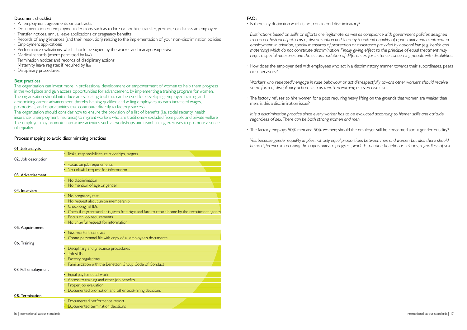### Document checklist

- All employment agreements or contracts
- Documentation on employment decisions such as to hire or not hire, transfer, promote or dismiss an employee
- Transfer notices, annual leave applications or pregnancy benefits
- Records of any grievances (and their resolution) relating to the implementation of your non-discrimination policies
- Employment applications
- Performance evaluations, which should be signed by the worker and manager/supervisor.
- Medical records (where permitted by law)
- Termination notices and records of disciplinary actions
- Maternity leave register, if required by law
- Disciplinary procedures

### Best practices

The organisation can invest more in professional development or empowerment of women to help them progress in the workplace and gain access opportunities for advancement, by implementing a training program for women. The organisation should introduce an evaluating tool that can be used for developing employee training and determining career advancement, thereby helping qualified and willing employees to earn increased wages, promotions, and opportunities that contribute directly to factory success.

The organisation should consider how to ensure the provision of a list of benefits (i.e. social security, health insurance, unemployment insurance) to migrant workers who are traditionally excluded from public and private welfare. The employer may promote interactive activities such as workshops and teambuilding exercises to promote a sense of equality.

### Process mapping to avoid discriminating practices

### 01. Job analysis • Tasks, responsibilities, relationships, targets 02. Job description • Focus on job requirements • No unlawful request for information 03. Advertisement No discrimination No mention of age or gender 04. Interview No pregnancy test No request about union membership • Check original IDs • Check if migrant worker is given free right and fare to return home by the recruitment agency • Focus on job requirements • No unlawful request for information 05. Appointment Give worker's contract • Create personnel file with copy of all employee's documents 06. Training • Disciplinary and grievance procedures • Job skills • Factory regulations • Familiarization with the Benetton Group Code of Conduct 07. Full employment • Equal pay for equal work Access to training and other job benefits Proper job evaluation • Documented promotion and other post-hiring decisions 08. Termination • Documented performance report • Documented termination decisions

### FAQs

• Is there any distinction which is not considered discriminatory?

 *Distinctions based on skills or efforts are legitimate, as well as compliance with government policies designed*  to correct historical patterns of discrimination and thereby to extend equality of opportunity and treatment in employment; in addition, special measures of protection or assistance provided by national law (e.g. health and *maternity) which do not constitute discrimination. Finally giving effect to the principle of equal treatment may require special measures and the accommodation of differences, for instance concerning people with disabilities.*

• How does the employer deal with employees who act in a discriminatory manner towards their subordinates, peers or supervisors?

*Workers who repeatedly engage in rude behaviour or act disrespectfully toward other workers should receive some form of disciplinary action, such as a written warning or even dismissal.*

• The factory refuses to hire women for a post requiring heavy lifting on the grounds that women are weaker than men, is this a discrimination issue?

*It is a discrimination practice since every worker has to be evaluated according to his/her skills and attitude, regardless of sex. There can be both strong women and men.*

• The factory employs 50% men and 50% women; should the employer still be concerned about gender equality?

*Yes, because gender equality implies not only equal proportions between men and women, but also there should be no difference in receiving the opportunity to progress, work distribution, benefits or salaries, regardless of sex.*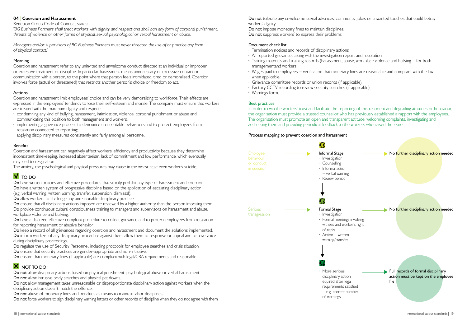Do not tolerate any unwelcome sexual advances, comments, jokes or unwanted touches that could betray workers' dignity.

Do not impose monetary fines to maintain disciplines. Do not suppress workers' to express their problems.

### Document check list

- Termination notices and records of disciplinary actions
- All reported grievances along with the investigation report and resolution
- Training materials and training records (harassment, abuse, workplace violence and bullying for both managementand workers.
- Wages paid to employees verification that monetary fines are reasonable and compliant with the law when applicable.
- Grievance committee records or union records (if applicable).
- Factory CCTV recording to review security searches (if applicable).
- Warnings form.

### Best practices

In order to win the workers' trust and facilitate the reporting of mistreatment and degrading attitudes or behaviour, the organisation must provide a trusted counsellor who has previously established a rapport with the employees. The organisation must promote an open and transparent attitude, welcoming complaints, investigating and addressing them and providing periodical feedback to the workers who raised the issues.

### Process mapping to prevent coercion and harassment



### 04 | Coercion and Harassment

Benetton Group Code of Conduct states:

Do have written policies and effective procedures that strictly prohibit any type of harassment and coercion. Do have a written system of progressive discipline based on the application of escalating disciplinary action (e.g. verbal warning, written warning, transfer, suspension, dismissal).

Do allow workers to challenge any unreasonable disciplinary practice.

*"BG Business Partners shall treat workers with dignity and respect and shall ban any form of corporal punishment, threats of violence or other forms of physical, sexual, psychological or verbal harassment or abuse.*

Do ensure that all disciplinary actions imposed are reviewed by a higher authority than the person imposing them. Do provide continuous cultural consciousness training to managers and supervisors on harassment and abuse, workplace violence and bullying.

Do have a discreet, effective compliant procedure to collect grievance and to protect employees from retaliation for reporting harassment or abusive behavior.

*Managers and/or supervisors of BG Business Partners must never threaten the use of or practice any form of physical contact."*

### Meaning

Do keep a record of all grievances regarding coercion and harassment and document the solutions implemented. Do inform workers of any disciplinary procedure against them; allow them to response or appeal and to have voice during disciplinary proceedings.

Do regulate the use of Security Personnel, including protocols for employee searches and crisis situation.

Coercion and harassment refer to any uninvited and unwelcome conduct directed at an individual or improper or excessive treatment or discipline. In particular, harassment means unnecessary or excessive contact or communication with a person, to the point where that person feels intimidated, tired or demoralised. Coercion involves force (actual or threatened) that restricts another person's choice or freedom to act.

Do not allow disciplinary actions based on physical punishment, psychological abuse or verbal harassment. Do not allow intrusive body searches and physical pat downs.

Do not allow management takes unreasonable or disproportionate disciplinary action against workers when the disciplinary action doesn't match the offence.

Do not abuse of monetary fines and penalties as means to maintain labor disciplines. Do not force workers to sign disciplinary warning letters or other records of discipline when they do not agree with them.

### Actions

Coercion and harassment limit employees' choice and can be very demoralizing to workforce. Their effects are expressed in the employees' tendency to lose their self-esteem and morale. The company must ensure that workers are treated with the maximum dignity and respect:

- condemning any kind of bullying, harassment, intimidation, violence, corporal punishment or abuse and communicating this position to both management and workers;
- implementing a grievance process to denounce unacceptable behaviours and to protect employees from retaliation connected to reporting;
- applying disciplinary measures consistently and fairly among all personnel.

### Benefits

Coercion and harassment can negatively affect workers' efficiency and productivity because they determine inconsistent timekeeping, increased absenteeism, lack of commitment and low performance, which eventually may lead to resignation.

The anxiety, the psychological and physical pressures may cause in the worst case even worker's suicide.

### $V$  TO DO

Do ensure that security practices are gender-appropriate and non-intrusive.

Do ensure that monetary fines (if applicable) are compliant with legal/CBA requirements and reasonable.

### **X** NOT TO DO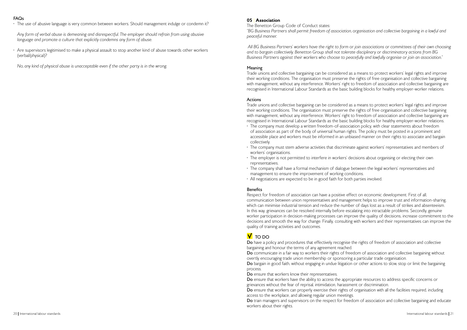### FAQs

• The use of abusive language is very common between workers. Should management indulge or condemn it?

 *Any form of verbal abuse is demeaning and disrespectful. The employer should refrain from using abusive language and promote a culture that explicitly condemns any form of abuse.*

• Are supervisors legitimised to make a physical assault to stop another kind of abuse towards other workers (verbal/physical)?

*No, any kind of physical abuse is unacceptable even if the other party is in the wrong.*

### 05 | Association

The Benetton Group Code of Conduct states: *"BG Business Partners shall permit freedom of association, organisation and collective bargaining in a lawful and peaceful manner.*

 *All BG Business Partners' workers have the right to form or join associations or committees of their own choosing and to bargain collectively. Benetton Group shall not tolerate disciplinary or discriminatory actions from BG Business Partners against their workers who choose to peacefully and lawfully organise or join an association."* 

### Meaning

Trade unions and collective bargaining can be considered as a means to protect workers' legal rights and improve their working conditions. The organisation must preserve the rights of free organisation and collective bargaining with management, without any interference. Workers' right to freedom of association and collective bargaining are recognised in International Labour Standards as the basic building blocks for healthy employer-worker relations.

### Actions

Trade unions and collective bargaining can be considered as a means to protect workers' legal rights and improve their working conditions. The organisation must preserve the rights of free organisation and collective bargaining with management, without any interference. Workers' right to freedom of association and collective bargaining are recognised in International Labour Standards as the basic building blocks for healthy employer-worker relations. • The company must develop a written freedom-of-association policy, with clear statements about freedom of association as part of the body of universal human rights. The policy must be posted in a prominent and accessible place and workers must be informed in an unbiased manner on their rights to associate and bargain

Do have a policy and procedures that effectively recognise the rights of freedom of association and collective bargaining and honour the terms of any agreement reached. Do communicate in a fair way to workers their rights of freedom of association and collective bargaining without overtly encouraging trade union membership or sponsoring a particular trade organisation. Do bargain in good faith, without engaging in undue litigation or other actions to slow, stop or limit the bargaining process.

Do ensure that workers know their representatives. Do ensure that workers have the ability to access the appropriate resources to address specific concerns or grievances without the fear of reprisal, intimidation, harassment or discrimination. Do ensure that workers can properly exercise their rights of organisation with all the facilities required, including access to the workplace, and allowing regular union meetings. Do train managers and supervisors on the respect for freedom of association and collective bargaining and educate workers about their rights.

- collectively.
- The company must stem adverse activities that discriminate against workers' representatives and members of workers' organisations.
- The employer is not permitted to interfere in workers' decisions about organising or electing their own representatives.
- The company shall have a formal mechanism of dialogue between the legal workers' representatives and management to ensure the improvement of working conditions.
- All negotiations are expected to be in good faith for both parties involved.

### **Benefits**

Respect for freedom of association can have a positive effect on economic development. First of all, communication between union representatives and management helps to improve trust and information-sharing, which can minimise industrial tension and reduce the number of days lost as a result of strikes and absenteeism. In this way, grievances can be resolved internally before escalating into intractable problems. Secondly, genuine worker participation in decision-making processes can improve the quality of decisions, increase commitment to the decisions and smooth the way for change. Finally, consulting with workers and their representatives can improve the quality of training activities and outcomes.

### **V** TO DO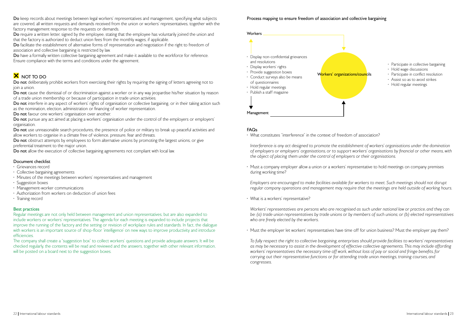

Do keep records about meetings between legal workers' representatives and management, specifying what subjects are covered, all written requests and demands received from the union or workers' representatives, together with the factory management response to the requests or demands.

- Hold wage discussions
- Participate in conflict resolution
- Assist so as to avoid strikes
- Hold regular meetings

Do require a written letter, signed by the employee, stating that the employee has voluntarily joined the union and that the factory is authorized to deduct union fees from the monthly wages, if applicable.

Do have a formally written collective bargaining agreement and make it available to the workforce for reference. Ensure compliance with the terms and conditions under the agreement.

## **X** NOT TO DO

Do not deliberately prohibit workers from exercising their rights by requiring the signing of letters agreeing not to join a union.

Do not cause the dismissal of or discrimination against a worker or in any way jeopardise his/her situation by reason of a trade union membership or because of participation in trade union activities.

Do not interfere in any aspect of workers' rights of organisation or collective bargaining, or in their taking action such as the nomination, election, administration or financing of worker representation.

Do not favour one workers' organisation over another.

Do not pursue any act aimed at placing a workers' organisation under the control of the employers or employers' organisation.

Do facilitate the establishment of alternative forms of representation and negotiation if the right to freedom of association and collective bargaining is restricted by law.

Do not use unreasonable search procedures, the presence of police or military to break up peaceful activities and allow workers to organise in a climate free of violence, pressure, fear and threats.

Do not obstruct attempts by employees to form alternative unions by promoting the largest unions, or give preferential treatment to the major union.

Do not allow the execution of collective bargaining agreements not compliant with local law.

- Grievances record
- Collective bargaining agreements
- Minutes of the meetings between workers' representatives and management
- Suggestion boxes
- Management-worker communications
- Authorization from workers on deduction of union fees
- Training record

The company shall create a "suggestion box" to collect workers' questions and provide adequate answers. It will be checked regularly, the contents will be read and reviewed and the answers, together with other relevant information, will be posted on a board next to the suggestion boxes.

### Document checklist



### Best practices

Regular meetings are not only held between management and union representatives, but are also expanded to include workers or workers' representatives. The agenda for each meeting is expanded to include projects that improve the running of the factory and the setting or revision of workplace rules and standards. In fact, the dialogue with workers is an important source of shop-floor 'intelligence' on new ways to improve productivity and introduce efficiencies.

### FAQs

• What constitutes "interference" in the context of freedom of association?

 *Interference is any act designed to promote the establishment of workers' organisations under the domination of employers or employers' organisations, or to support workers' organisations by financial or other means, with the object of placing them under the control of employers or their organisations.*

• Must a company employer allow a union or a workers' representative to hold meetings on company premises during working time?

 *Employers are encouraged to make facilities available for workers to meet. Such meetings should not disrupt regular company operations and management may require that the meetings are held outside of working hours.*

• What is a workers' representative?

 *Workers' representatives are persons who are recognised as such under national law or practice, and they can*  be: (a) trade union representatives by trade unions or by members of such unions; or (b) elected representatives *who are freely elected by the workers.*

• Must the employer let workers' representatives have time off for union business? Must the employer pay them?

 *To fully respect the right to collective bargaining, enterprises should provide facilities to workers' representatives*  as may be necessary to assist in the development of effective collective agreements. This may include affording *workers' representatives the necessary time off work, without loss of pay or social and fringe benefits, for carrying out their representative functions or for attending trade union meetings, training courses, and congresses.*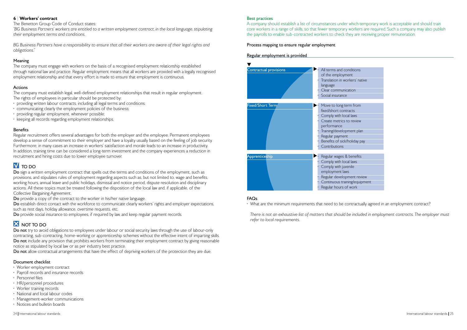#### Best practices

A company should establish a list of circumstances under which temporary work is acceptable and should train core workers in a range of skills, so that fewer temporary workers are required. Such a company may also publish the payrolls to enable sub-contracted workers to check they are receiving proper remuneration.

### Process mapping to ensure regular employment



### FAQs

• What are the minimum requirements that need to be contractually agreed in an employment contract?

*There is not an exhaustive list of matters that should be included in employment contracts. The employer must refer to local requirements.*

| ions           |
|----------------|
| rs' native     |
| 'n             |
|                |
|                |
| from           |
| Ś              |
| WS             |
| eview          |
| nt plan        |
| day pay        |
|                |
|                |
| nefits         |
| WS             |
| $\overline{a}$ |
| nt review      |
| equipment      |
| brk            |
|                |

### 6 | Workers' contract

The Benetton Group Code of Conduct states:

*"BG Business Partners' workers are entitled to a written employment contract, in the local language, stipulating their employment terms and conditions.* 

*BG Business Partners have a responsibility to ensure that all their workers are aware of their legal rights and obligations."*

### Meaning

The company must engage with workers on the basis of a recognised employment relationship established through national law and practice. Regular employment means that all workers are provided with a legally recognised employment relationship and that every effort is made to ensure that employment is continuous.

### Actions

Do sign a written employment contract that spells out the terms and conditions of the employment, such as provisions, and stipulates rules of employment regarding aspects such as, but not limited to, wage and benefits, working hours, annual leave and public holidays, dismissal and notice period, dispute resolution and disciplinary actions. All these topics must be treated following the disposition of the local law and, if applicable, of the Collective Bargaining Agreement.

Do provide a copy of the contract to the worker in his/her native language.

The company must establish legal, well-defined employment relationships that result in regular employment. The rights of employees in particular should be protected by:

Do establish direct contact with the workforce to communicate clearly workers' rights and employer expectations, such as rest days, holiday allowance, overtime requests, etc.

Do provide social insurance to employees, if required by law, and keep regular payment records.

### **X** NOT TO DO

- providing written labour contracts, including all legal terms and conditions;
- communicating clearly the employment policies of the business;
- providing regular employment, whenever possible;
- keeping all records regarding employment relationships.

Do not try to avoid obligations to employees under labour or social security laws through the use of labour-only contracting, sub-contracting, home-working or apprenticeship schemes without the effective intent of imparting skills. Do not include any provision that prohibits workers from terminating their employment contract by giving reasonable notice as stipulated by local law or as per industry best practice.

Do not allow contractual arrangements that have the effect of depriving workers of the protection they are due.

### Benefits

- Worker employment contract
- Payroll records and insurance records
- Personnel files
- HR/personnel procedures
- Worker training records
- National and local labour codes
- Management-worker communications
- Notices and bulletin boards

Regular recruitment offers several advantages for both the employer and the employee. Permanent employees develop a sense of commitment to their employer and have a loyalty usually based on the feeling of job security. Furthermore, in many cases an increase in workers' satisfaction and morale leads to an increase in productivity. In addition, training time can be considered a long-term investment and the company experiences a reduction in recruitment and hiring costs due to lower employee turnover.

## N TO DO

### Document checklist

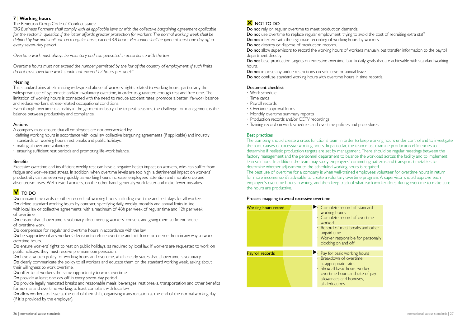### 7 | Working hours

The Benetton Group Code of Conduct states:

*"BG Business Partners shall comply with all applicable laws or with the collective bargaining agreement applicable*  for the sector in question if the latter affords greater protection for workers. The normal working week shall be *defined by law and shall not, on a regular basis, exceed 48 hours. Personnel shall be given at least one day off in every seven-day period.*

*Overtime work must always be voluntary and compensated in accordance with the law.*

*Overtime hours must not exceed the number permitted by the law of the country of employment. If such limits do not exist, overtime work should not exceed 12 hours per week."*

### Meaning

This standard aims at eliminating widespread abuse of workers' rights related to working hours, particularly the widespread use of systematic and/or involuntary overtime, in order to guarantee enough rest and free time. The limitation of working hours is connected with the need to reduce accident rates, promote a better life-work balance and reduce workers' stress-related occupational conditions.

Do mantain time cards or other records of working hours, including overtime and rest days for all workers. Do define standard working hours by contract, specifying daily, weekly, monthly and annual limits in line with local law or collective agreements, with a maximum of 48h per week of regular time and 12h per week of overtime.

Even though overtime is a reality in the garment industry, due to peak seasons, the challenge for management is the balance between productivity and compliance.

Do ensure that all overtime is voluntary, documenting workers' consent and giving them sufficient notice of overtime work.

### Actions

A company must ensure that all employees are not overworked by:

Do be supportive of any workers' decision to refuse overtime and not force or coerce them in any way to work overtime hours.

Do ensure workers' rights to rest on public holidays, as required by local law. If workers are requested to work on public holidays, they must receive premium compensation.

Do have a written policy for working hours and overtime, which clearly states that all overtime is voluntary.

- defining working hours in accordance with local law, collective bargaining agreements (if applicable) and industry standards on working hours, rest breaks and public holidays;
- making all overtime voluntary;
- ensuring sufficient rest periods and promoting life-work balance.

### **Benefits**

Do clearly communicate the policy to all workers and educate them on the standard working week, asking about their willingness to work overtime.

Do provide legally mandated breaks and reasonable meals, beverages, rest breaks, transportation and other benefits for normal and overtime working, at least compliant with local law.

Do allow workers to leave at the end of their shift, organising transportation at the end of the normal working day (if it is provided by the employer).

### **X** NOT TO DO

Excessive overtime and insufficient weekly rest can have a negative health impact on workers, who can suffer from fatigue and work-related stress. In addition, when overtime levels are too high, a detrimental impact on workers' productivity can be seen very quickly: as working hours increase, employees' attention and morale drop and absenteeism rises. Well-rested workers, on the other hand, generally work faster and make fewer mistakes.

### $V$  TO DO

Do not allow supervisors to record the working hours of workers manually, but transfer information to the payroll department directly.

Do not base production targets on excessive overtime, but fix daily goals that are achievable with standard working hours.

Do not impose any undue restrictions on sick leave or annual leave. Do not confuse standard working hours with overtime hours in time records.

Do compensate for regular and overtime hours in accordance with the law.

Do offer to all workers the same opportunity to work overtime.

Do provide at least one day off in every seven-day period.

Do not rely on regular overtime to meet production demands. Do not use overtime to replace regular employment, trying to avoid the cost of recruiting extra staff. Do not interfere with the legitimate recording of working hours by workers. Do not destroy or dispose of production records.

### Document checklist

- Work schedule
- Time cards
- Payroll records
- Overtime approval forms
- Monthly overtime summary reports
- Production records and/or CCTV recordings
- Training record on work schedules and overtime policies and procedures

### Best practices

The company should create a cross functional team in order to keep working hours under control and to investigate the root causes of excessive working hours. In particular, the team must examine production efficiencies to determine if realistic production targets are set by management. There should be regular meetings between the factory management and the personnel department to balance the workload across the facility and to implement lean solutions. In addition, the team may study employees' commuting patterns and transport timetables to determine whether adjustment to the scheduled working hours is required. The best use of overtime for a company is when well-trained employees volunteer for overtime hours in return for more income, so it's advisable to create a voluntary overtime program. A supervisor should approve each employee's overtime hours in writing, and then keep track of what each worker does during overtime to make sure the hours are productive.

### Process mapping to avoid excessive overtime

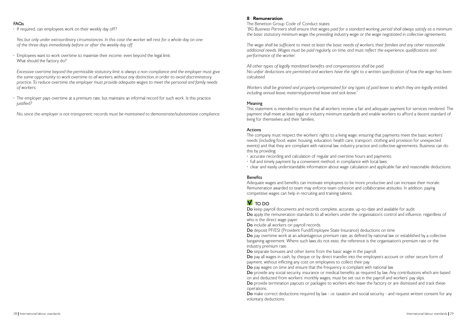### FAQs

• If required, can employees work on their weekly day off?

*Yes, but only under extraordinary circumstances. In this case the worker will rest for a whole day on one of the three days immediately before or after the weekly day off.*

• Employees want to work overtime to maximize their income, even beyond the legal limit. What should the factory do?

• The employer pays overtime at a premium rate, but maintains an informal record for such work. Is this practice iustified?

 *Excessive overtime beyond the permissible statutory limit is always a non-compliance and the employer must give the same opportunity to work overtime to all workers, without any distinction, in order to avoid discriminatory practice. To reduce overtime, the employer must provide adequate wages to meet the personal and family needs of workers.*

*No, since the employer is not transparent; records must be maintained to demonstrate/substantiate compliance*

### 8 Remuneration

The Benetton Group Code of Conduct states: *"BG Business Partners shall ensure that wages paid for a standard working period shall always satisfy as a minimum the basic statutory minimum wage, the prevailing industry wage or the wage negotiated in collective agreements.*

*The wage shall be sufficient to meet at least the basic needs of workers, their families and any other reasonable additional needs. Wages must be paid regularly, on time, and must reflect the experience, qualifications and performance of the worker.*

*All other types of legally mandated benefits and compensations shall be paid. No unfair deductions are permitted and workers have the right to a written specification of how the wage has been calculated.* 

*Workers shall be granted and properly compensated for any types of paid leave to which they are legally entitled, including annual leave, maternity/parental leave and sick leave."*

### Meaning

This statement is intended to ensure that all workers receive a fair and adequate payment for services rendered. The payment shall meet at least legal or industry minimum standards and enable workers to afford a decent standard of living for themselves and their families.

### Actions

The company must respect the workers' rights to a living wage, ensuring that payments meet the basic workers' needs (including food, water, housing, education, health care, transport, clothing and provision for unexpected events) and that they are compliant with national law, industry practice and collective agreements. Business can do this by providing:

- accurate recording and calculation of regular and overtime hours and payments;
- full and timely payment by a convenient method, in compliance with local laws;
- clear and easily understandable information about wage calculation and applicable fair and reasonable deductions.

### **Benefits**

Adequate wages and benefits can motivate employees to be more productive and can increase their morale. Remuneration awarded to team may enforce team cohesion and collaborative attitudes. In addition, paying competitive wages can help in recruiting and training talents.

### $V$  to DO

Do keep payroll documents and records complete, accurate, up-to-date and available for audit. Do apply the remuneration standards to all workers under the organisation's control and influence, regardless of who is the direct wage payer.

Do include all workers on payroll records.

Do deposit PF/ESI (Provident Fund/Employee State Insurance) deductions on time. Do pay overtime work at an advantageous premium rate, as defined by national law or established by a collective bargaining agreement. Where such laws do not exist, the reference is the organisation's premium rate or the industry premium rate.

Do separate bonuses and other items from the basic wage in the payroll. Do pay all wages in cash, by cheque or by direct transfer into the employee's account or other secure form of payment, without inflicting any cost on employees to collect their pay. Do pay wages on time and ensure that the frequency is compliant with national law. Do provide any social security, insurance or medical benefits as required by law. Any contributions which are based on and deducted from workers' monthly wages, must be set out in the payroll and workers' pay slips. Do provide termination payouts or packages to workers who leave the factory or are dismissed and track these operations.

Do make correct deductions required by law - i.e. taxation and social security - and request written consent for any voluntary deductions.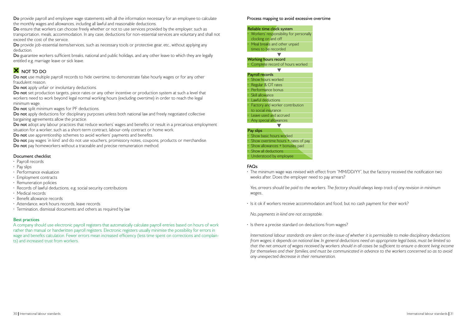Do ensure that workers can choose freely whether or not to use services provided by the employer, such as transportation, meals, accommodation. In any case, deductions for non-essential services are voluntary and shall not exceed the cost of the service.

Do provide job-essential items/services, such as necessary tools or protective gear, etc., without applying any deduction.

Do guarantee workers sufficient breaks, national and public holidays, and any other leave to which they are legally entitled e.g. marriage leave or sick leave.

### **X** NOT TO DO

Do not use multiple payroll records to hide overtime, to demonstrate false hourly wages or for any other fraudulent reason.

Do not apply unfair or involuntary deductions.

Do not set production targets, piece rates or any other incentive or production system at such a level that workers need to work beyond legal normal working hours (excluding overtime) in order to reach the legal minimum wage.

Do not split minimum wages for PF deductions.

Do not apply deductions for disciplinary purposes unless both national law and freely negotiated collective bargaining agreements allow the practice.

Do not adopt any labour practices that reduce workers' wages and benefits or result in a precarious employment situation for a worker, such as a short-term contract, labour-only contract or home work.

Do not use apprenticeship schemes to avoid workers' payments and benefits.

Do not pay wages 'in kind' and do not use vouchers, promissory notes, coupons, products or merchandise. Do not pay homeworkers without a traceable and precise remuneration method.

• Workers' responsibility for personally clocking on and off Meal breaks and other unpaid

### Document checklist

u Working hours record • Complete record of hours worked

 $\blacktriangledown$ Payroll records Show hours worked • Regular & OT rates Performance bonus • Skill allowance **Lawful deductions** • Factory and worker contribution to social insurance • Leave used and accrued • Any special allowances Pay slips Show basic hours worked Show overtime hours  $+$  rates of pay Show allowances + bonuses paid

- Payroll records
- Pay slips
- Performance evaluation
- Employment contracts
- Remuneration policies
- Records of lawful deductions, e.g. social security contributions
- Medical records
- Benefit allowance records
- Attendance, work hours records, leave records
- Termination, dismissal documents and others as required by law

### Best practices

A company should use electronic payroll registers that automatically calculate payroll entries based on hours of work rather than manual or handwritten payroll registers. Electronic registers usually minimise the possibility for errors in wage and benefits calculation. Fewer errors mean increased efficiency (less time spent on corrections and complaints) and increased trust from workers.

#### Process mapping to avoid excessive overtime

### FAQs

• The minimum wage was revised with effect from "MM/DD/YY", but the factory received the notification two weeks after. Does the employer need to pay arrears?

*Yes, arrears should be paid to the workers. The factory should always keep track of any revision in minimum wages..*

• Is it ok if workers receive accommodation and food, but no cash payment for their work?

*No, payments in kind are not acceptable.*

• Is there a precise standard on deductions from wages?

 *International labour standards are silent on the issue of whether it is permissible to make disciplinary deductions from wages; it depends on national law. In general deductions need an appropriate legal basis, must be limited so that the net amount of wages received by workers should in all cases be sufficient to ensure a decent living income*  for themselves and their families, and must be communicated in advance to the workers concerned so as to avoid *any unexpected decrease in their remuneration.*



#### times to be recorded

### $\blacksquare$

• Understood by employee

**Show all deductions**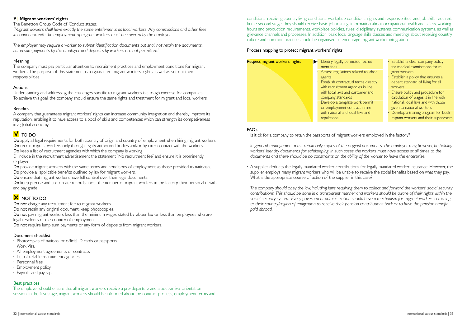

- 
- 
- 
- 
- Establish a clear company policy for medical examinations for mi grant workers
- Establish a policy that ensures a decent standard of living for all workers
- Ensure policy and procedure for calculation of wages is in line with national, local laws and with those given to national workers
- Develop a training program for both migrant workers and their supervisors

conditions, receiving country living conditions, workplace conditions, rights and responsibilities, and job skills required. In the second stage, they should receive basic job training, information about occupational health and safety, working hours and production requirements, workplace policies, rules, disciplinary systems, communication systems, as well as grievance channels and processes. In addition, basic local language skills classes and meetings about receiving country culture and common practices could be organised to encourage migrant worker integration.

### Process mapping to protect migrant workers' rights

### FAQs

• Is it ok for a company to retain the passports of migrant workers employed in the factory?

 *In general, management must retain only copies of the original documents. The employer may, however, be holding workers' identity documents for safekeeping. In such cases, the workers must have access at all times to the documents and there should be no constraints on the ability of the worker to leave the enterprise.*

• A supplier deducts the legally mandated worker contributions for legally mandated worker insurance. However, the supplier employs many migrant workers who will be unable to receive the social benefits based on what they pay. What is the appropriate course of action of the supplier in this case?

Do keep precise and up-to-date records about the number of migrant workers in the factory, their personal details and pay grade.

### **X** NOT TO DO

Do not charge any recruitment fee to migrant workers.

Do not retain any original document, keep photocopies.

 *The company should obey the law, including laws requiring them to collect and forward the workers' social security contributions. This should be done in a transparent manner and workers should be aware of their rights within the social security system. Every government administration should have a mechanism for migrant workers returning*  to their country/region of emigration to receive their pension contributions back or to have the pension benefit *paid abroad.*

Do not pay migrant workers less than the minimum wages stated by labour law or less than employees who are legal residents of the country of employment.

Do not require lump sum payments or any form of deposits from migrant workers.

- Photocopies of national or official ID cards or passports
- Work Visa
- All employment agreements or contracts
- List of reliable recruitment agencies
- Personnel files
- Employment policy
- Payrolls and pay slips

### 9 Migrant workers' rights

The Benetton Group Code of Conduct states:

*"Migrant workers shall have exactly the same entitlements as local workers. Any commissions and other fees in connection with the employment of migrant workers must be covered by the employer.*

*The employer may require a worker to submit identification documents but shall not retain the documents. Lump sum payments by the employer and deposits by workers are not permitted."*

### Meaning

The company must pay particular attention to recruitment practices and employment conditions for migrant workers. The purpose of this statement is to guarantee migrant workers' rights as well as set out their responsibilities.

### Actions

Understanding and addressing the challenges specific to migrant workers is a tough exercise for companies. To achieve this goal, the company should ensure the same rights and treatment for migrant and local workers.

### **Benefits**

A company that guarantees migrant workers' rights can increase community integration and thereby improve its reputation, enabling it to have access to a pool of skills and competences which can strength its competiveness in a global economy.

### $\overline{\mathsf{V}}$  TO DO

Do apply all legal requirements for both country of origin and country of employment when hiring migrant workers. Do recruit migrant workers only through legally authorized bodies and/or by direct contact with the workers.

Do keep a list of recruitment agencies with which the company is working.

Di include in the recruitment advertisement the statement "No recruitment fee" and ensure it is prominently displayed.

Do provide migrant workers with the same terms and conditions of employment as those provided to nationals. Do provide all applicable benefits outlined by law for migrant workers.

Do ensure that migrant workers have full control over their legal documents.

### Document checklist

### Best practices

The employer should ensure that all migrant workers receive a pre-departure and a post-arrival orientation session. In the first stage, migrant workers should be informed about the contract process, employment terms and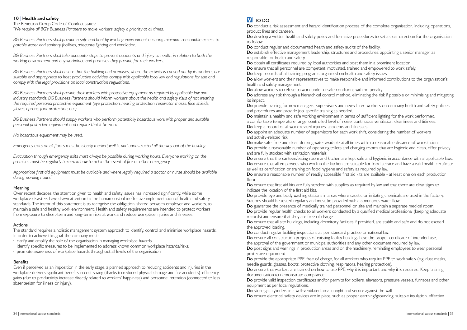### 10 | Health and safety

The Benetton Group Code of Conduct states: *"We require all BG's Business Partners to make workers' safety a priority at all times.*

*BG Business Partners shall provide a safe and healthy working environment ensuring minimum reasonable access to potable water and sanitary facilities, adequate lighting and ventilation.*

*BG Business Partners shall take adequate steps to prevent accidents and injury to health, in relation to both the working environment and any workplace and premises they provide for their workers.*

*BG Business Partners shall ensure that the building and premises, where the activity is carried out by its workers, are suitable and appropriate to host productive activities, comply with applicable local law and regulations for use and comply with the legal provisions on local construction regulations,*

*BG Business Partners shall provide their workers with protective equipment as required by applicable law and industry standards. BG Business Partners should inform workers about the health and safety risks of not wearing the required personal protective equipment (eye protection, hearing protection, respirator masks, face shields, gloves, aprons, foot protection, etc.).*

The standard requires a holistic management system approach to identify, control and minimise workplace hazards. In order to achieve this goal, the company must:

*BG Business Partners should supply workers who perform potentially hazardous work with proper and suitable personal protective equipment and require that it be worn.*

*No hazardous equipment may be used.*

*Emergency exits on all floors must be clearly marked, well lit and unobstructed all the way out of the building.*

*Evacuation through emergency exits must always be possible during working hours. Everyone working on the premises must be regularly trained in how to act in the event of fire or other emergency.*

Do conduct a risk assessment and hazard identification process of the complete organisation, including operations, product lines and canteen.

Do develop a written health and safety policy and formalize procedures to set a clear direction for the organisation to follow.

*Appropriate first aid equipment must be available and where legally required a doctor or nurse should be available during working hours."*

### Meaning

Do obtain all certificates required by local authorities and post them in a prominent location. Do ensure that all personnel are competent, motivated, trained and empowered to work safely. Do keep records of all training programs organised on health and safety issues. Do allow workers and their representatives to make responsible and informed contributions to the organisation's health and safety management.

Over recent decades, the attention given to health and safety issues has increased significantly, while some workplace disasters have drawn attention to the human cost of ineffective implementation of health and safety standards. The intent of this statement is to recognise the obligation, shared between employer and workers, to maintain a safe and healthy work environment. Health and safety requirements are intended to protect workers from exposure to short-term and long-term risks at work and reduce workplace injuries and illnesses.

### Actions

Do provide training for new managers, supervisors and newly hired workers on company health and safety policies and procedures and provide job-specific training as needed. Do maintain a healthy and safe working environment in terms of sufficient lighting for the work performed, a comfortable temperature range, controlled level of noise, continuous ventilation, cleanliness and tidiness. Do keep a record of all work-related injuries, accidents and illnesses. Do appoint an adequate number of supervisors for each work shift, considering the number of workers and activity-related risk.

Do make safe, free and clean drinking water available at all times within a reasonable distance of workstations. Do provide a reasonable number of operating toilets and changing rooms that are hygienic and clean, offer privacy and are fully stocked with sanitation materials.

Do ensure that the canteen/eating room and kitchen are kept safe and hygienic in accordance with all applicable laws. Do ensure that all employees who work in the kitchen are suitable for food service and have a valid health certificate as well as certification or training on food hygiene and safety as required by law. Do ensure a reasonable number of readily accessible first aid kits are available - at least one on each production floor

- clarify and amplify the role of the organisation in managing workplace hazards;
- identify specific measures to be implemented to address known common workplace hazards/risks;
- promote awareness of workplace hazards throughout all levels of the organisation

### Benefits

Do ensure that first aid kits are fully stocked with supplies as required by law and that there are clear signs to indicate the location of the first aid kits.

Even if perceived as an imposition in the early stage, a planned approach to reducing accidents and injuries in the workplace delivers significant benefits in cost saving (thanks to reduced physical damage and fire accidents), efficiency gains (due to productivity increase directly related to workers' happiness) and personnel retention (connected to less absenteeism for illness or injury).

## **V** TO DO

Do ensure that all site buildings, including dormitory facilities if provided, are stable and safe and do not exceed the approved loading.

Do provide the appropriate PPE, free of charge, for all workers who require PPE to work safely (e.g. dust masks, needle guards, glasses, boots, protective clothing, respirators, hearing protection). Do ensure that workers are trained on how to use PPE, why it is important and why it is required. Keep training documentation to demonstrate compliance.

Do conduct regular and documented health and safety audits of the facility. Do establish effective management leadership, structures and procedures, appointing a senior manager as responsible for health and safety.

Do provide valid inspection certificates and/or permits for boilers, elevators, pressure vessels, furnaces and other equipment as per local regulations.

Do store gas cylinders in a well-ventilated area, upright and secure against the wall. Do ensure electrical safety devices are in place, such as proper earthing/grounding, suitable insulation, effective

Do allow workers to refuse to work under unsafe conditions with no penalty. Do address any risk through a hierarchical control method, eliminating the risk if possible or minimising and mitigating its impact.

Do provide eye and body washing stations in areas where caustic or irritating chemicals are used in the factory. Stations should be tested regularly and must be provided with a continuous water flow. Do guarantee the presence of medically trained personnel on site and maintain a separate medical room. Do provide regular health checks to all workers conducted by a qualified medical professional (keeping adequate records) and ensure that they are free of charge.

Do conduct regular building inspections as per standard practice or national law. Do ensure all construction projects of existing facility buildings have the proper certificate of intended use, the approval of the government or municipal authorities and any other document required by law. Do post signs and warnings in production areas and on the machinery, reminding employees to wear personal protective equipment.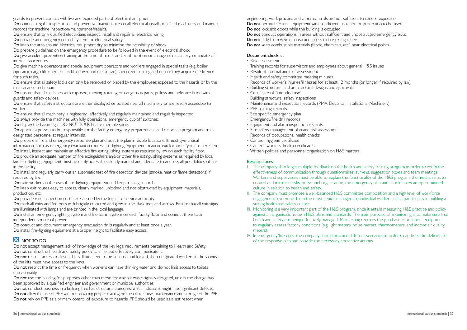guards to prevent contact with live and exposed parts of electrical equipment.

Do conduct regular inspections and preventive maintenance on all electrical installations and machinery and maintain records for machine inspection/maintenance/repairs.

Do ensure that only qualified electricians inspect, install and repair all electrical wiring.

Do give accident prevention training at the time of hire, transfer of position or change of machinery, or update of internal procedures.

Do provide an emergency cut-off system for electrical safety.

Do keep the area around electrical equipment dry to minimise the possibility of shock.

Do give machine operators and special equipment operators and workers engaged in special tasks (e.g. boiler operator, cargo lift operator, forklift driver and electrician) specialized training and ensure they acquire the licence for such tasks.

Do ensure that all safety locks can only be removed or placed by the employees exposed to the hazards or by the maintenance technician.

Do prepare guidelines on the emergency procedure to be followed in the event of electrical shock.

Do ensure that all machines with exposed, moving, rotating or dangerous parts, pulleys and belts are fitted with guards and safety devices.

Do ensure that safety instructions are either displayed or posted near all machinery or are readily accessible to workers.

Do ensure that all machinery is registered, effectively and regularly maintained and regularly inspected.

Do appoint a person to be responsible for the facility emergency preparedness and response program and train designated personnel at regular intervals.

Do prepare a fire and emergency response plan and post the plan in visible locations. It must give critical information, such as emergency evacuation routes, fire-fighting equipment location, exit location, "you are here", etc.

Do install, inspect and maintain an effective fire extinguishing system as required by law on each facility floor.

Do provide an adequate number of fire extinguishers and/or other fire extinguishing systems as required by local law. Fire-fighting equipment must be easily accessible, clearly marked and adequate to address all possibilities of fire in the facility.

Do keep exit routes easy to access, clearly marked, unlocked and not obstructed by equipment, materials, production, etc.

Do mark all exits and fire exits with brightly coloured and glow-in-the-dark lines and arrows. Ensure that all exit signs are illuminated with lamps and are printed in the local language.

Do aways provide the machines with fully operational emergency cut-off switches.

Do install an emergency lighting system and fire alarm system on each facility floor and connect them to an independent source of power.

Do display the hazard sign DO NOT TOUCH at vulnerable spots

Do not restrict access to first aid kits. If kits need to be secured and locked, then designated workers in the vicinity of the kits must have access to the keys.

Do not restrict the time or frequency when workers can have drinking water and do not limit access to toilets unreasonably.

Do not use the building for purposes other than those for which it was originally designed, unless the change has been approved by a qualified engineer and government or municipal authorities.

Do not conduct business in a building that has structural concerns, which indicate it might have significant defects. Do not allow the use of PPE without providing proper training on the correct use, maintenance and storage of the PPE. Do not rely on PPE as a primary control of exposure to hazards. PPE should be used as a last resort when

Do install and regularly carry out an automatic test of fire detection devices (smoke, heat or flame detectors) if required by law.

Do train workers in the use of fire-fighting equipment and keep training records.

Do provide valid inspection certificates issued by the local fire service authority.

Do conduct and document emergency evacuation drills regularly and at least once a year.

Do install fire-fighting equipment at a proper height to facilitate easy access.

### **X** NOT TO DO

Do not accept management lack of knowledge of the key legal requirements pertaining to Health and Safety. Do not confine the Health and Safety policy to a file, but effectively communicate it.

- The company should get multiple feedback on the health and safety training program in order to verify the effectiveness of communication through questionnaires, surveys, suggestion boxes and team meetings. Workers and supervisors must be able to explain the functionality of the H&S program, the mechanisms to control and minimise risks, personnel organisation, the emergency plan and should show an open-minded culture in relation to health and safety.
- The company must promote a well-balanced H&S committee composition and a high level of workforce engagement: everyone, from the most senior managers to individual workers, has a part to play in building a strong health and safety culture.
- III. Monitoring is a very important part of the H&S program, since it entails measuring H&S practice and policy against an organisation's own H&S plans and standards. The main purpose of monitoring is to make sure that health and safety are being effectively managed. Monitoring requires the purchase of technical equipment to regularly assess factory conditions (e.g. light meters, noise meters, thermometers, and indoor air quality meters).
- IV. In emergency/fire drills, the company should practice different scenarios in order to address the deficiencies of the response plan and provide the necessary corrective actions.

#### Document checklist

- Risk assessment
- Training records for supervisors and employees about general H&S issues
- Result of internal audit or assessment
- Health and safety committee meeting minutes
- Records of worker's injuries/illnesses for at least 12 months (or longer if required by law)
- Building structural and architectural designs and approvals
- Certificate of "intended use"
- Building structural safety inspections
- Maintenance and inspection records (PMV, Electrical Installations, Machinery)
- PPE training records
- Site specific emergency plan
- Emergency/fire drill records
- Equipment and alarm inspection records
- Fire safety management plan and risk assessment
- Records of occupational health checks
- Canteen hygiene certificate
- Canteen workers' health certificates
- Written policies and personnel organisation on H&S matters

### Best practices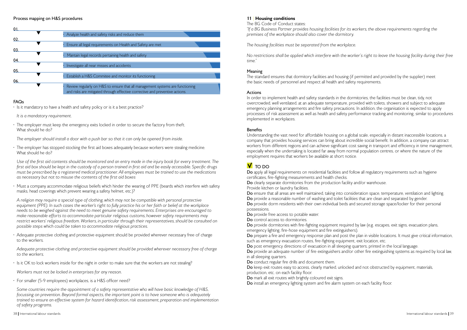#### Process mapping on H&S procedures

| 01  |                                                                               |
|-----|-------------------------------------------------------------------------------|
|     | Analyze health and safety risks and reduce them                               |
| 02. |                                                                               |
|     | Ensure all legal requirements on Health and Safety are met                    |
| 03. |                                                                               |
|     | Mantain legal records pertaining health and safety                            |
|     |                                                                               |
| 04. |                                                                               |
|     | Investigate all near misses and accidents                                     |
| 05. |                                                                               |
|     | Establish a H&S Commitee and monitor its functioning                          |
|     |                                                                               |
| 06. |                                                                               |
|     | Review regularly on H&S to ensure that all management systems are functioning |
|     | and risks are mitigated through effective corrective and preventive actions.  |
|     |                                                                               |

• The employer has stopped stocking the first aid boxes adequately because workers were stealing medicine. What should he do?

### FAQs

- Is it mandatory to have a health and safety policy or is it a best practice?
- *It is a mandatory requirement.*
- The employer must keep the emergency exits locked in order to secure the factory from theft. What should he do?

*The employer should install a door with a push bar so that it can only be opened from inside.*

 *Use of the first aid contents should be monitored and an entry made in the injury book for every treatment. The first aid box should be kept in the custody of a person trained in first aid and be easily accessible. Specific drugs must be prescribed by a registered medical practitioner. All employees must be trained to use the medications as necessary but not to misuse the contents of the first aid boxes*

• Must a company accommodate religious beliefs which hinder the wearing of PPE (beards which interfere with safety masks, head coverings which prevent wearing a safety helmet, etc.)?

 *A religion may require a special type of clothing, which may not be compatible with personal protective*  equipment (PPE). In such cases the worker's right to fully practice his or her faith or belief at the workplace *needs to be weighed against the need to meet genuine safety requirements. Enterprises are encouraged to make reasonable efforts to accommodate particular religious customs, however safety requirements may*  restrict workers' religious freedom. Workers, in particular through their representatives, should be consulted on *possible steps which could be taken to accommodate religious practices.*

In order to implement health and safety standards in the dormitories, the facilities must be clean, tidy, not overcrowded, well ventilated, at an adequate temperature, provided with toilets, showers and subject to adequate emergency planning arrangements and fire safety precautions. In addition, the organisation is expected to apply processes of risk assessment as well as health and safety performance tracking and monitoring, similar to procedures implemented in workplaces.

### **Benefits**

• Adequate protective clothing and protective equipment should be provided wherever necessary free of charge to the workers.

 *Adequate protective clothing and protective equipment should be provided wherever necessary free of charge to the workers.*

Do apply all legal requirements on residential facilities and follow all regulatory requirements such as hygiene certificates, fire-fighting measurements and health checks. Do clearly separate dormitories from the production facility and/or warehouse. Provide kitchen or laundry facilities.

• Is it OK to lock workers inside for the night in order to make sure that the workers are not stealing?

*Workers must not be locked in enterprises for any reason.*

• For smaller (5-9 employees) workplaces, is a H&S officer need?

 *Some countries require the appointment of a safety representative who will have basic knowledge of H&S, focussing on prevention. Beyond formal aspects, the important point is to have someone who is adequately trained to ensure an effective system for hazard identification, risk assessment, preparation and implementation of safety programs.*

### 11 Housing conditions

Do provide dormitories with fire-fighting equipment required by law (e.g. escapes, exit signs, evacuation plans, emergency lighting, fire-hose equipment and fire extinguishers). Do prepare a fire and emergency response plan and post the plan in visible locations. It must give critical information, such as emergency evacuation routes, fire-fighting equipment, exit location, etc. Do post emergency directions of evacuation in all sleeping quarters, printed in the local language. Do provide an adequate number of fire extinguishers and/or other fire extinguishing systems as required by local law, in all sleeping quarters.

The BG Code of Conduct states:

Do keep exit routes easy to access, clearly marked, unlocked and not obstructed by equipment, materials, production, etc. on each facility floor.

Do mark all exit routes with brightly coloured exit signs. Do install an emergency lighting system and fire alarm system on each facility floor.

*"If a BG Business Partner provides housing facilities for its workers, the above requirements regarding the premises of the workplace should also cover the dormitory.*

*The housing facilities must be separated from the workplace.*

*No restrictions shall be applied which interfere with the worker's right to leave the housing facility during their free time."*

### Meaning

The standard ensures that dormitory facilities and housing (if permitted and provided by the supplier) meet the basic needs of personnel and respect all health and safety requirements.

### Actions

Understanding the vast need for affordable housing on a global scale, especially in distant inaccessible locations, a company that provides housing services can bring about incredible social benefit. In addition, a company can attract workers from different regions and can achieve significant cost saving in transport and efficiency in time management, especially when the undertaking is located far away from normal population centres, or where the nature of the employment requires that workers be available at short notice.

## **V** TO DO

Do ensure that all areas are well maintained, taking into consideration space, temperature, ventilation and lighting. Do provide a reasonable number of washing and toilet facilities that are clean and separated by gender. Do provide dorm residents with their own individual beds and secured storage space/locker for their personal possessions.

Do provide free access to potable water.

Do control access to dormitories.

Do conduct regular fire drills and document them.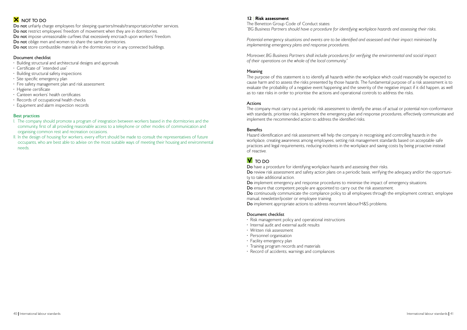## **X** NOT TO DO

Do not unfairly charge employees for sleeping quarters/meals/transportation/other services. Do not restrict employees' freedom of movement when they are in dormitories. Do not impose unreasonable curfews that excessively encroach upon workers' freedom. Do not oblige men and women to share the same dormitories. Do not store combustible materials in the dormitories or in any connected buildings.

### Document checklist

- Building structural and architectural designs and approvals
- Certificate of "intended use"
- Building structural safety inspections
- Site specific emergency plan
- Fire safety management plan and risk assessment
- Hygiene certificate
- Canteen workers' health certificates
- Records of occupational health checks
- Equipment and alarm inspection records

### Best practices

- I. The company should promote a program of integration between workers based in the dormitories and the community, first of all providing reasonable access to a telephone or other modes of communication and organising common rest and recreation occasions.
- II. In the design of housing for workers, every effort should be made to consult the representatives of future occupants, who are best able to advise on the most suitable ways of meeting their housing and environmental needs.

### 12 | Risk assessment

The Benetton Group Code of Conduct states: *"BG Business Partners should have a procedure for identifying workplace hazards and assessing their risks.*

*Potential emergency situations and events are to be identified and assessed and their impact minimised by implementing emergency plans and response procedures.*

Do implement emergency and response procedures to minimise the impact of emergency situations. Do ensure that competent people are appointed to carry out the risk assessment. Do continuously communicate the compliance policy to all employees through the employment contract, employee manual, newsletter/poster or employee training.

*Moreover, BG Business Partners shall include procedures for verifying the environmental and social impact of their operations on the whole of the local community."*

### Meaning

The purpose of this statement is to identify all hazards within the workplace which could reasonably be expected to cause harm and to assess the risks presented by those hazards. The fundamental purpose of a risk assessment is to evaluate the probability of a negative event happening and the severity of the negative impact if it did happen, as well as to rate risks in order to prioritise the actions and operational controls to address the risks.

### Actions

The company must carry out a periodic risk assessment to identify the areas of actual or potential non-conformance with standards, prioritise risks, implement the emergency plan and response procedures, effectively communicate and implement the recommended action to address the identified risks.

### **Benefits**

Hazard identification and risk assessment will help the company in recognising and controlling hazards in the workplace, creating awareness among employees, setting risk management standards based on acceptable safe practices and legal requirements, reducing incidents in the workplace and saving costs by being proactive instead of reactive.

## **V** TO DO

Do have a procedure for identifying workplace hazards and assessing their risks. Do review risk assessment and safety action plans on a periodic basis, verifying the adequacy and/or the opportunity to take additional action.

Do implement appropriate actions to address recurrent labour/H&S problems.

### Document checklist

- Risk management policy and operational instructions
- Internal audit and external audit results
- Written risk assessment
- Personnel organisation
- Facility emergency plan
- Training program records and materials
- Record of accidents, warnings and compliances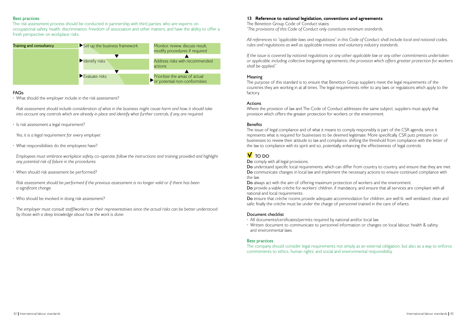The Benetton Group Code of Conduct states: *"The provisions of this Code of Conduct only constitute minimum standards.*

*If the issue is covered by national regulations or any other applicable law or any other commitments undertaken or applicable, including collective bargaining agreements, the provision which offers greater protection for workers shall be applied."*

*All references to "applicable laws and regulations" in this Code of Conduct shall include local and national codes, rules and regulations as well as applicable treaties and voluntary industry standards.*

### Meaning

The purpose of this standard is to ensure that Benetton Group suppliers meet the legal requirements of the countries they are working in at all times. The legal requirements refer to any laws or regulations which apply to the factory.

Do understand specific local requirements, which can differ from country to country, and ensure that they are met. Do communicate changes in local law and implement the necessary actions to ensure continued compliance with the law.

### Actions

Where the provision of law and The Code of Conduct addresses the same subject, suppliers must apply that provision which offers the greater protection for workers or the environment.

### **Benefits**

Do ensure that crèche rooms provide adequate accommodation for children, are well lit, well ventilated, clean and safe; finally the crèche must be under the charge of personnel trained in the care of infants.

The issue of legal compliance and of what it means to comply responsibly is part of the CSR agenda, since it represents what is required for businesses to be deemed legitimate. More specifically, CSR puts pressure on businesses to review their attitude to law and compliance, shifting the threshold from compliance with the letter of the law to compliance with its spirit and so, potentially, enhancing the effectiveness of legal controls.

### $V$  TO DO

Do comply with all legal provisions.

Do always act with the aim of offering maximum protection of workers and the environment. Do provide a viable crèche for workers' children, if mandatory, and ensure that all services are compliant with all national and local requirements.



### Document checklist

• All documents/certificates/permits required by national and/or local law. • Written document to communicate to personnel information or changes on local labour, health & safety

and environmental laws.

### Best practices

The company should consider legal requirements not simply as an external obligation, but also as a way to enforce commitments to ethics, human rights, and social and environmental responsibility.

### Best practices

The risk assessment process should be conducted in partnership with third parties, who are experts on occupational safety, health, discrimination, freedom of association and other matters, and have the ability to offer a fresh perspective on workplace risks.

### FAQs

• What should the employer include in the risk assessment?

 *Risk assessment should include consideration of what in the business might cause harm and how; it should take into account any controls which are already in place and identify what further controls, if any, are required.*

• Is risk assessment a legal requirement?

*Yes, it is a legal requirement for every employer.*

• What responsibilities do the employees have?

*Employees must embrace workplace safety, co-operate, follow the instructions and training provided and highlight any potential risk of failure in the procedures.*

• When should risk assessment be performed?

*Risk assessment should be performed if the previous assessment is no longer valid or if there has been a significant change.*

• Who should be involved in doing risk assessment?

 *The employer must consult staff/workers or their representatives since the actual risks can be better understood by those with a deep knowledge about how the work is done.*

### 13 | Reference to national legislation, conventions and agreements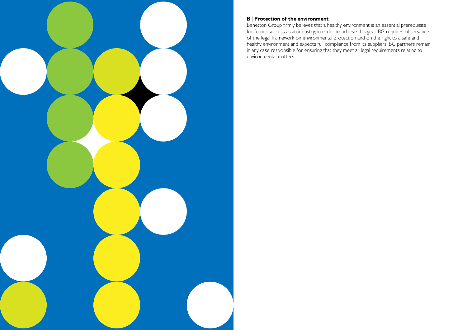

### B | Protection of the environment

Benetton Group firmly believes that a healthy environment is an essential prerequisite for future success as an industry; in order to achieve this goal, BG requires observance of the legal framework on environmental protection and on the right to a safe and healthy environment and expects full compliance from its suppliers. BG partners remain in any case responsible for ensuring that they meet all legal requirements relating to environmental matters.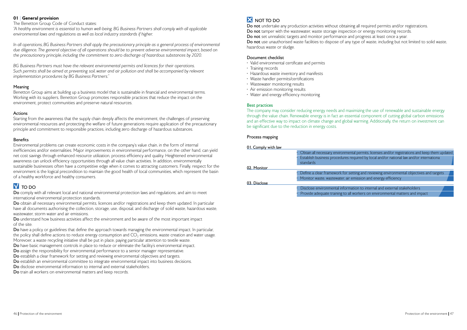### 01 General provision

The Benetton Group Code of Conduct states:

*"A healthy environment is essential to human well-being. BG Business Partners shall comply with all applicable environmental laws and regulations as well as local industry standards if higher.*

In all operations, BG Business Partners shall apply the precautionary principle as a general process of environmental *due diligence. The general objective of all operations should be to prevent adverse environmental impact, based on the precautionary principle, including the commitment to zero discharge of hazardous substances by 2020.*

*BG Business Partners must have the relevant environmental permits and licences for their operations. Such permits shall be aimed at preventing soil, water and air pollution and shall be accompanied by relevant implementation procedures by BG Business Partners."*

### Meaning

Benetton Group aims at building up a business model that is sustainable in financial and environmental terms. Working with its suppliers, Benetton Group promotes responsible practices that reduce the impact on the environment, protect communities and preserve natural resources.

### Actions

Do comply with all relevant local and national environmental protection laws and regulations, and aim to meet international environmental protection standards.

Do obtain all necessary environmental permits, licences and/or registrations and keep them updated. In particular have all documents authorising the collection, storage, use, disposal, and discharge of solid waste, hazardous waste, wastewater, storm water and air emissions.

Starting from the awareness that the supply chain deeply affects the environment, the challenges of preserving environmental resources and protecting the welfare of future generations require application of the precautionary principle and commitment to responsible practices, including zero discharge of hazardous substances.

### **Benefits**

Do understand how business activities affect the environment and be aware of the most important impact of the site.

Do have a policy or guidelines that define the approach towards managing the environmental impact. In particular, the policy shall define actions to reduce energy consumption and  $CO<sub>2</sub>$  emissions, waste creation and water usage. Morevoer, a waste recycling initiative shall be put in place, paying particular attention to textile waste.

Do have basic management controls in place to reduce or eliminate the facility's environmental impact.

Do assign the responsibility for environmental performance to a senior manager representative.

Environmental problems can create economic costs in the company's value chain, in the form of internal inefficiencies and/or externalities. Major improvements in environmental performance, on the other hand, can yield net cost savings through enhanced resource utilization, process efficiency and quality. Heightened environmental awareness can unlock efficiency opportunities through all value chain activities. In addition, environmentally sustainable businesses often have a competitive edge when it comes to attracting customers. Finally, respect for the environment is the logical precondition to maintain the good health of local communities, which represent the basin of a healthy workforce and healthy consumers.

### $N$  TO DO

Do not undertake any production activities without obtaining all required permits and/or registrations. Do not tamper with the wastewater, waste storage inspection or energy monitoring records. Do not set unrealistic targets and monitor performance and progress at least once a year. Do not use unauthorised waste facilities to dispose of any type of waste, including but not limited to solid waste, hazardous waste or sludge.

Do establish a clear framework for setting and reviewing environmental objectives and targets.

Do establish an environmental committee to integrate environmental impact into business decisions.

Do disclose environmental information to internal and external stakeholders.

Do train all workers on environmental matters and keep records.

## $X$  NOT TO DO

### Document checklist

- Valid environmental certificate and permits
- Training records
- Hazardous waste inventory and manifests
- Waste handler permits/certifications
- Wastewater monitoring results
- Air emission monitoring results
- Water and energy efficiency monitoring

### Best practices

The company may consider reducing energy needs and maximizing the use of renewable and sustainable energy through the value chain. Renewable energy is in fact an essential component of cutting global carbon emissions and an effective way to impact on climate change and global warming. Additionally, the return on investment can be significant due to the reduction in energy costs.

### Process mapping

| 01. Comply with law |                                                                                  |
|---------------------|----------------------------------------------------------------------------------|
|                     | Obtain all necessary environmen<br>Establish business procedures re<br>standards |
| 02. Monitor         |                                                                                  |
|                     | Define a clear framework for se<br>Monitor waste, wastewater, air                |
| 03. Disclose        |                                                                                  |
|                     | Disclose environmental informa<br>Provide adequate training to all               |

tal permits, licenses and/or registrations and keep them updated equired by local and/or national law and/or international

etting and reviewing environmental objectives and targets emission and energy efficiency

ation to internal and external stakeholders workers on environmental matters and impact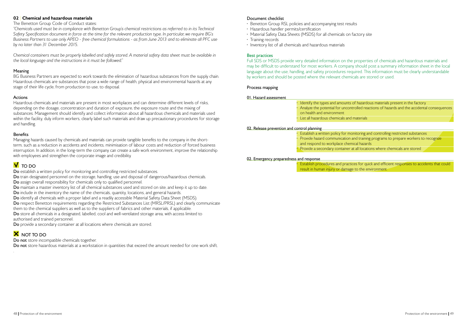### 02 Chemical and hazardous materials

#### The Benetton Group Code of Conduct states:

*"Chemicals used must be in compliance with Benetton Group's chemical restrictions as referred to in its Technical Safety Specification document in force at the time for the relevant production type. In particular, we require BG's Business Partners to use only APEO - free chemical formulations - as from June 2013 and to eliminate all PFC use by no later than 31 December 2015.*

*Chemical containers must be properly labelled and safely stored. A material safety data sheet must be available in the local language and the instructions in it must be followed."*

### Meaning

BG Business Partners are expected to work towards the elimination of hazardous substances from the supply chain. Hazardous chemicals are substances that pose a wide range of health, physical and environmental hazards at any stage of their life cycle, from production to use, to disposal.

### Actions

Do train designated personnel on the storage, handling, use and disposal of dangerous/hazardous chemicals. Do assign overall responsibility for chemicals only to qualified personnel.

Do maintain a master inventory list of all chemical substances used and stored on site, and keep it up to date.

Do include in the inventory the name of the chemicals, quantity, locations, and general hazards.

Hazardous chemicals and materials are present in most workplaces and can determine different levels of risks, depending on the dosage, concentration and duration of exposure, the exposure route and the mixing of substances. Management should identify and collect information about all hazardous chemicals and materials used within the facility, duly inform workers, clearly label such materials and draw up precautionary procedures for storage and handling.

### Benefits

Managing hazards caused by chemicals and materials can provide tangible benefits to the company in the shortterm, such as a reduction in accidents and incidents, minimisation of labour costs and reduction of forced business interruption. In addition, in the long-term the company can create a safe work environment, improve the relationship with employees and strengthen the corporate image and credibility.

### $\overline{V}$  TO DO

Do establish a written policy for monitoring and controlling restricted substances.

Do identify all chemicals with a proper label and a readily accessible Material Safety Data Sheet (MSDS).

Do respect Benetton requirements regarding the Restricted Substances List (MRSL/PRSL) and clearly communicate

them to the chemical suppliers as well as to the suppliers of fabrics and other materials, if applicable.

Do store all chemicals in a designated, labelled, cool and well-ventilated storage area, with access limited to authorised and trained personnel.

Do provide a secondary container at all locations where chemicals are stored.

### **X** NOT TO DO

.

Do not store incompatible chemicals together.

Do not store hazardous materials at a workstation in quantities that exceed the amount needed for one work shift.

### Document checklist

- Benetton Group RSL policies and accompanying test results
- Hazardous handler permits/certification
- Material Safety Data Sheets (MSDS) for all chemicals on factory site
- Training records
- Inventory list of all chemicals and hazardous materials

### Best practices

Full SDS or MSDS provide very detailed information on the properties of chemicals and hazardous materials and may be difficult to understand for most workers. A company should post a summary information sheet in the local language about the use, handling, and safety procedures required. This information must be clearly understandable by workers and should be posted where the relevant chemicals are stored or used.

### Process mapping

#### 01. Hazard assessment

| Identify the types and amounts   |
|----------------------------------|
| Analyze the potential for uncont |
| on health and environment        |
| List all hazardous chemicals and |

#### 02. Release prevention and control planning

| • Establish a written policy for mo |
|-------------------------------------|
| • Provide hazard communication      |
| and respond to workplace chen       |
| · Provide a secondary container a   |

#### 02. Emergency preparedness and response

• Establish procedures and practices for quick and efficient responses to accidents that could result in human injury or damage to the environment.

of hazardous materials present in the factory trolled reactions of hazards and the accidental consequences

materials

onitoring and controlling restricted substances and training programs to prepare workers to recognize nical hazards

at all locations where chemicals are stored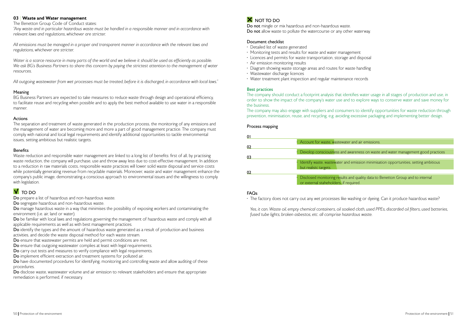### 03 | Waste and Water management

The Benetton Group Code of Conduct states:

*"Any waste and in particular hazardous waste must be handled in a responsible manner and in accordance with relevant laws and regulations, whichever are stricter.* 

Water is a scarce resource in many parts of the world and we believe it should be used as efficiently as possible. We ask BG's Business Partners to share this concern by paying the strictest attention to the management of water *resources.* 

*All emissions must be managed in a proper and transparent manner in accordance with the relevant laws and regulations, whichever are stricter.*

*All outgoing wastewater from wet processes must be treated, before it is discharged, in accordance with local laws."*

### Meaning

BG Business Partners are expected to take measures to reduce waste through design and operational efficiency, to facilitate reuse and recycling when possible and to apply the best method available to use water in a responsible manner.

### Actions

Do manage hazardous waste in a way that minimises the possibility of exposing workers and contaminating the environment (i.e. air, land or water).

Do be familiar with local laws and regulations governing the management of hazardous waste and comply with all applicable requirements as well as with best management practices.

Do identify the types and the amount of hazardous waste generated as a result of production and business

The separation and treatment of waste generated in the production process, the monitoring of any emissions and the management of water are becoming more and more a part of good management practice. The company must comply with national and local legal requirements and identify additional opportunities to tackle environmental issues, setting ambitious but realistic targets.

### **Benefits**

Do have documented procedures for identifying, monitoring and controlling waste and allow auditing of these procedures.

Do disclose waste, wastewater volume and air emission to relevant stakeholders and ensure that appropriate remediation is performed, if necessary.

### **X** NOT TO DO

Do not mingle or mix hazardous and non-hazardous waste. Do not allow waste to pollute the watercourse or any other waterway.

Waste reduction and responsible water management are linked to a long list of benefits: first of all, by practising waste reduction, the company will purchase, use and throw away less due to cost-effective management. In addition to a reduction in raw materials costs, responsible waste practices will lower solid waste disposal and service costs while potentially generating revenue from recyclable materials. Moreover, waste and water management enhance the company's public image, demonstrating a conscious approach to environmental issues and the willingness to comply with legislation.

### $V$  TO DO

Do prepare a list of hazardous and non-hazardous waste.

Do segregate hazardous and non-hazardous waste.

Yes, it can. Waste oil, empty chemical containers, oil soaked cloth, used PPEs, discarded oil filters, used batteries, *fused tube lights, broken asbestos, etc. all comprise hazardous waste.*

and air emissions.

areness on waste and water management good practices

mission minimisation opportunities, setting ambitious

d quality data to Benetton Group and to internal ired.

activities, and decide the waste disposal method for each waste stream.

Do ensure that wastewater permits are held and permit conditions are met.

Do ensure that outgoing wastewater complies at least with legal requirements.

Do carry out tests and measures to verify compliance with legal requirements.

Do implement efficient extraction and treatment systems for polluted air.

### Document checklist

- Detailed list of waste generated
- Monitoring tests and results for waste and water management
- Licences and permits for waste transportation, storage and disposal
- Air emission monitoring results
- Diagram showing waste storage areas and routes for waste handling
- Wastewater discharge licences
- Water treatment plant inspection and regular maintenance records

### Best practices

The company should conduct a footprint analysis that identifies water usage in all stages of production and use, in order to show the impact of the company's water use and to explore ways to conserve water and save money for the business.

The company may also engage with suppliers and consumers to identify opportunities for waste reduction through prevention, minimisation, reuse, and recycling, e.g. avoiding excessive packaging and implementing better design.

### Process mapping

| 01 |                                                                      |
|----|----------------------------------------------------------------------|
|    | Account for waste, wastewater a                                      |
| 02 |                                                                      |
|    | Devolop consciousness and awa                                        |
| 03 |                                                                      |
|    | I dentify waste, wastewater and e                                    |
|    | but realistc targets.                                                |
| 02 |                                                                      |
|    | Disclosed monitoring results an<br>or external staheholders, if requ |
|    |                                                                      |

### FAQs

• The factory does not carry out any wet processes like washing or dyeing. Can it produce hazardous waste?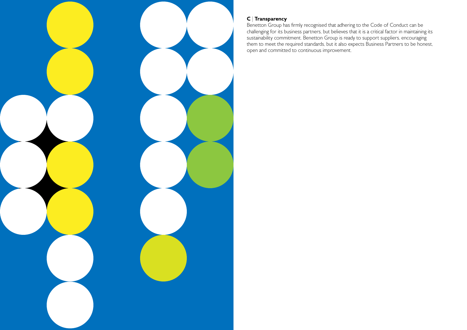

### C | Transparency

Benetton Group has firmly recognised that adhering to the Code of Conduct can be challenging for its business partners, but believes that it is a critical factor in maintaining its sustainability commitment. Benetton Group is ready to support suppliers, encouraging them to meet the required standards, but it also expects Business Partners to be honest, open and committed to continuous improvement.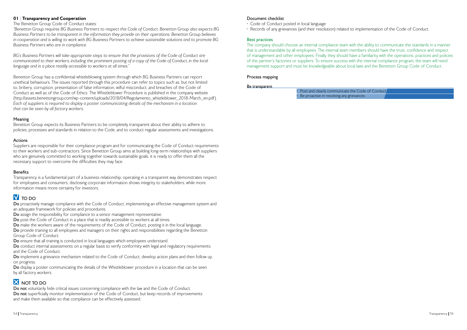### Document checklist

- Code of Conduct posted in local language
- Records of any grievances (and their resolution) related to implementation of the Code of Conduct.

### Best practices

The company should choose an internal compliance team with the ability to communicate the standards in a manner that is understandable by all employees. The internal team members should have the trust, confidence and respect of management and other employees. Finally, they should have a familiarity with the operations, practices and policies of the partner's factories or suppliers. To ensure success with the internal compliance program, the team will need management support and must be knowledgeable about local laws and the Benetton Group Code of Conduct.

### Process mapping

#### Be transparent

• Post and clearly communicate the  $\cdot$  Be proactive in resolving any gries

| e Code of Conduct |  |
|-------------------|--|
| evances           |  |

### 01 Transparency and Cooperation

#### The Benetton Group Code of Conduct states:

*"Benetton Group requires BG Business Partners to respect this Code of Conduct. Benetton Group also expects BG Business Partners to be transparent in the information they provide on their operations. Benetton Group believes in cooperation and is willing to work with BG Business Partners to achieve sustainable solutions and to promote BG Business Partners who are in compliance.*

*BG's Business Partners will take appropriate steps to ensure that the provisions of the Code of Conduct are*  communicated to their workers, including the prominent posting of a copy of the Code of Conduct, in the local *language and in a place readily accessible to workers at all times."*

Do proactively manage compliance with the Code of Conduct, implementing an effective management system and an adequate framework for policies and procedures.

Do provide training to all employees and managers on their rights and responsibilities regarding the Benetton Group Code of Conduct.

Do ensure that all training is conducted in local languages which employees understand.

Benetton Group has a confidential whistleblowing system through which BG Business Partners can report unethical behaviours. The issues reported through this procedure can refer to topics such as, but not limited to, bribery, corruption, presentation of false information, wilful misconduct, and breaches of the Code of Conduct as well as of the Code of Ethics. The Whistleblower Procedure is published in the company website (http://assets.benettongroup.com/wp-content/uploads/2018/04/Regolamento\_whistleblower\_2018-March\_en.pdf). *Each of suppliers is required to display a poster communicating details of the mechanism in a location that can be seen by all factory workers.*

Do conduct internal assessments on a regular basis to verify conformity with legal and regulatory requirements and the Code of Conduct.

Do implement a grievance mechanism related to the Code of Conduct, develop action plans and then follow up on progress.

Do display a poster communicating the details of the Whistleblower procedure in a location that can be seen by all factory workers.

### **X** NOT TO DO

Do not voluntarily hide critical issues concerning compliance with the law and the Code of Conduct. Do not superficially monitor implementation of the Code of Conduct, but keep records of improvements and make them available so that compliance can be effectively assessed.

### Meaning

Benetton Group expects its Business Partners to be completely transparent about their ability to adhere to policies, processes and standards in relation to the Code, and to conduct regular assessments and investigations.

### Actions

Suppliers are responsible for their compliance program and for communicating the Code of Conduct requirements to their workers and sub-contractors. Since Benetton Group aims at building long-term relationships with suppliers who are genuinely committed to working together towards sustainable goals, it is ready to offer them all the necessary support to overcome the difficulties they may face.

### **Benefits**

Transparency is a fundamental part of a business relationship: operating in a transparent way demonstrates respect for employees and consumers, disclosing corporate information shows integrity to stakeholders, while more information means more certainty for investors.

## $N$  TO DO

Do assign the responsibility for compliance to a senior management representative.

Do post the Code of Conduct in a place that is readily accessible to workers at all times.

Do make the workers aware of the requirements of the Code of Conduct, posting it in the local language.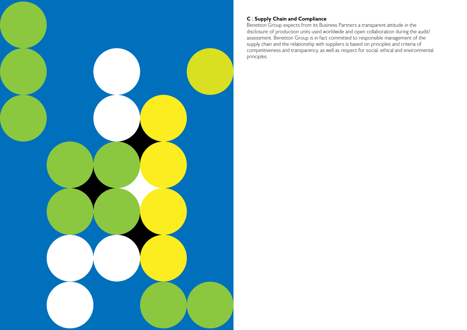

### C | Supply Chain and Compliance

Benetton Group expects from its Business Partners a transparent attitude in the disclosure of production units used worldwide and open collaboration during the audit/ assessment. Benetton Group is in fact committed to responsible management of the supply chain and the relationship with suppliers is based on principles and criteria of competitiveness and transparency, as well as respect for social, ethical and environmental principles.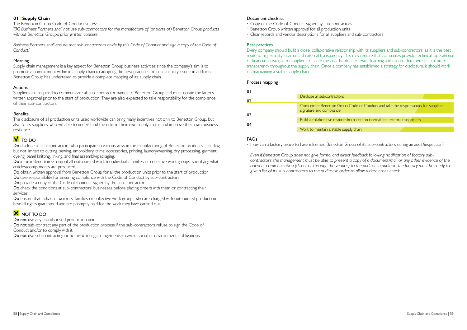### 01 | Supply Chain

The Benetton Group Code of Conduct states:

*"BG Business Partners shall not use sub-contractors for the manufacture of (or parts of) Benetton Group products without Benetton Group's prior written consent.*

*Business Partners shall ensure that sub-contractors abide by this Code of Conduct and sign a copy of the Code of Conduct."*

### Meaning

Supply chain management is a key aspect for Benetton Group business activities since the company's aim is to promote a commitment within its supply chain to adopting the best practices on sustainability issues; in addition, Benetton Group has undertaken to provide a complete mapping of its supply chain.

### Actions

Do disclose all sub-contractors who participate in various ways in the manufacturing of Benetton products, including but not limited to cutting, sewing, embroidery, trims, accessories, printing, laundry/washing, dry processing, garment dyeing, panel knitting, linking, and final assembly/packaging.

Do inform Benetton Group of all outsourced work to individuals, families or collective work groups, specifying what articles/components are produced.

Do obtain written approval from Benetton Group for all the production units prior to the start of production. Do take responsibility for ensuring compliance with the Code of Conduct by sub-contractors.

Suppliers are required to communicate all sub-contractor names to Benetton Group and must obtain the latter's written approval prior to the start of production. They are also expected to take responsibility for the compliance of their sub-contractors.

### **Benefits**

The disclosure of all production units used worldwide can bring many incentives not only to Benetton Group, but also to its suppliers, who will able to understand the risks in their own supply chains and improve their own business resilience.

### **V** TO DO

Do ensure that individual workers, families or collective work groups who are charged with outsourced production have all rights guaranteed and are promptly paid for the work they have carried out.

### **X** NOT TO DO

Do not use any unauthorised production unit.

Do not sub-contract any part of the production process if the sub-contractors refuse to sign the Code of Conduct and/or to comply with it.

Do not use sub-contracting or home-working arrangements to avoid social or environmental obligations.

Do provide a copy of the Code of Conduct signed by the sub-contractor.

Do check the conditions at sub-contractors' businesses before placing orders with them or contracting their services.

### Document checklist

- Copy of the Code of Conduct signed by sub-contractors
- Benetton Group written approval for all production units
- Clear records and vendor descriptions for all suppliers and sub-contractors

### Best practices

Every company should build a close, collaborative relationship with its suppliers and sub-contractors, as it is the best route to high-quality internal and external transparency. This may require that companies provide technical, operational or financial assistance to suppliers to share the cost burden, to foster learning and ensure that there is a culture of transparency throughout the supply chain. Once a company has established a strategy for disclosure, it should work on maintaining a stable supply chain.

### Process mapping

| 01 |                                                                |
|----|----------------------------------------------------------------|
|    | • Disclose all subcontractors                                  |
| 02 |                                                                |
| 03 | • Comunicate Benetton Group Code o<br>signature and compliance |
|    |                                                                |
|    | • Build a collaborative relationship based                     |
| 04 |                                                                |
|    | • Work to maintain a stable supply chain                       |

### FAQs

• How can a factory prove to have informed Benetton Group of its sub-contractors during an audit/inspection?

 *Even if Benetton Group does not give formal and direct feedback following notification of factory subcontractors, the management must be able to present a copy of a document/mail or any other evidence of the relevant communication (direct or through the vendor) to the auditor. In addition, the factory must be ready to give a list of its sub-contractors to the auditor, in order to allow a data cross check.*

| • Disclose all subcontractors                                                                                      |
|--------------------------------------------------------------------------------------------------------------------|
|                                                                                                                    |
| • Comunicate Benetton Group Code of Conduct and take the responsability for suppliers'<br>signature and compliance |
|                                                                                                                    |
| $\cdot$ Build a collaborative relationship based on internal and external trasparency                              |
|                                                                                                                    |
| • Work to maintain a stable supply chain                                                                           |
|                                                                                                                    |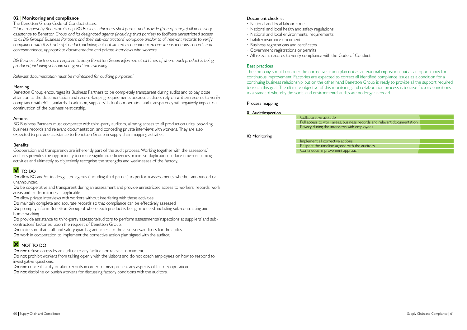### 02 | Monitoring and compliance

### The Benetton Group Code of Conduct states:

*"Upon request by Benetton Group, BG Business Partners shall permit and provide (free of charge) all necessary assistance to Benetton Group and its designated agents (including third parties) to facilitate unrestricted access to all BG Groups' Business Partners and their sub-contractors' workplace and/or to all relevant records to verify compliance with this Code of Conduct, including but not limited to unannounced on-site inspections, records and correspondence, appropriate documentation and private interviews with workers.*

*BG Business Partners are required to keep Benetton Group informed at all times of where each product is being produced, including subcontracting and homeworking.*

*Relevant documentation must be maintained for auditing purposes."*

### Meaning

Benetton Group encourages its Business Partners to be completely transparent during audits and to pay close attention to the documentation and record-keeping requirements because auditors rely on written records to verify compliance with BG standards. In addition, suppliers' lack of cooperation and transparency will negatively impact on continuation of the business relationship.

Do be cooperative and transparent during an assessment and provide unrestricted access to workers, records, work areas and to dormitories, if applicable.

Do allow private interviews with workers without interfering with these activities.

Do promptly inform Benetton Group of where each product is being produced, including sub-contracting and home-working.

### Actions

BG Business Partners must cooperate with third-party auditors, allowing access to all production units, providing business records and relevant documentation, and conceding private interviews with workers. They are also expected to provide assistance to Benetton Group in supply chain mapping activities.

### **Benefits**

Do not prohibit workers from talking openly with the visitors and do not coach employees on how to respond to investigative questions.

Do not conceal, falsify or alter records in order to misrepresent any aspects of factory operation.

Do not discipline or punish workers for discussing factory conditions with the auditors.

Cooperation and transparency are inherently part of the audit process. Working together with the assessors/ auditors provides the opportunity to create significant efficiencies, minimise duplication, reduce time-consuming activities and ultimately to objectively recognise the strengths and weaknesses of the factory.

### **V** TO DO

Do allow BG and/or its designated agents (including third parties) to perform assessments, whether announced or unannounced.

## 01 Audit/inspection • Collaborative attitude

Do maintain complete and accurate records so that compliance can be effectively assessed.

Do provide assistance to third-party assessors/auditors to perform assessments/inspections at suppliers' and subcontractors' factories, upon the request of Benetton Group.

Do make sure that staff and safety guards grant access to the assessors/auditors for the audits.

Do work in cooperation to implement the corrective action plan signed with the auditor.

### $X$  NOT TO DO

Do not refuse access by an auditor to any facilities or relevant document.

### Document checklist

- National and local labour codes
- National and local health and safety regulations
- National and local environmental requirements
- Liability insurance documents
- Business registrations and certificates
- Government registrations or permits
- All relevant records to verify compliance with the Code of Conduct

### Best practices

The company should consider the corrective action plan not as an external imposition, but as an opportunity for continuous improvement. Factories are expected to correct all identified compliance issues as a condition for a continuing business relationship, but on the other hand Benetton Group is ready to provide all the support required to reach this goal. The ultimate objective of this monitoring and collaboration process is to raise factory conditions to a standard whereby the social and environmental audits are no longer needed.

### Process mapping

• Full access to work areas, business records and relevant documentation • Privacy during the interviews with employees **Implement all corrective actions** Respect the timeline agreed with the auditors • Continuous improvement approach

02 Monitoring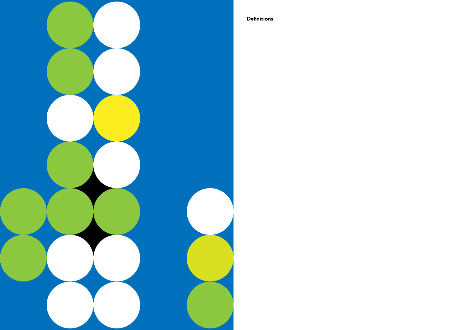

**Definitions**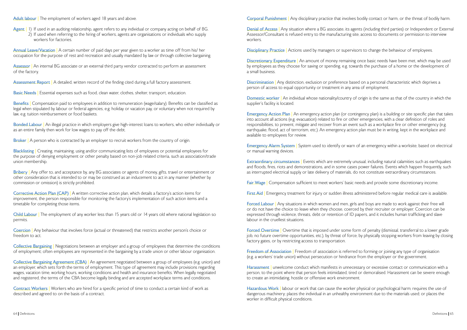Adult labour | The employment of workers aged 18 years and above.

Agent | 1) If used in an auditing relationship, agent refers to any individual or company acting on behalf of BG. 2) If used when referring to the hiring of workers, agents are organisations or individuals who supply workers for factories.

Assessor | An internal BG associate or an external third party vendor contracted to perform an assessment of the factory.

Assessment Report | A detailed, written record of the finding cited during a full factory assessment.

Basic Needs | Essential expenses such as food, clean water, clothes, shelter, transport, education.

Annual Leave/Vacation | A certain number of paid days per year given to a worker as time off from his/ her occupation for the purpose of rest and recreation and usually mandated by law or through collective bargaining.

Benefits | Compensation paid to employees in addition to remuneration (wage/salary). Benefits can be classified as legal when stipulated by labour or federal agencies, e.g. holiday or vacation pay, or voluntary when not required by law, e.g. tuition reimbursement or food baskets.

Bonded Labour | An illegal practice in which employers give high-interest loans to workers, who either individually or as an entire family then work for low wages to pay off the debt.

Broker | A person who is contracted by an employer to recruit workers from the country of origin.

Blacklisting | Creating, maintaining, using and/or communicating lists of employees or potential employees for the purpose of denying employment or other penalty based on non-job related criteria, such as association/trade union membership.

Bribery | Any offer to, and acceptance by, any BG associates or agents of money, gifts, travel or entertainment or other consideration that is intended to or may be construed as an inducement to act in any manner (whether by commission or omission) is strictly prohibited.

Child Labour | The employment of any worker less than 15 years old or 14 years old where national legislation so permits.

Coercion | Any behaviour that involves force (actual or threatened) that restricts another person's choice or freedom to act.

Collective Bargaining | Negotiations between an employer and a group of employees that determine the conditions of employment; often employees are represented in the bargaining by a trade union or other labour organisation.

Collective Bargaining Agreement (CBA) | An agreement negotiated between a group of employees (e.g. union) and an employer, which sets forth the terms of employment. This type of agreement may include provisions regarding wages, vacation time, working hours, working conditions and health and insurance benefits. When legally negotiated and registered, the terms of the CBA become legally binding and are accepted workplace terms and conditions.

Contract Workers | Workers who are hired for a specific period of time to conduct a certain kind of work as described and agreed to on the basis of a contract.

Corporal Punishment | Any disciplinary practice that involves bodily contact or harm, or the threat of bodily harm.

Denial of Access | Any situation where a BG associate, its agents (including third parties) or Independent or External Assessor/Consultant is refused entry to the manufacturing site, access to documents or permission to interview workers.

Disciplinary Practice | Actions used by managers or supervisors to change the behaviour of employees.

Discretionary Expenditure | An amount of money remaining once basic needs have been met, which may be used by employees as they choose for saving or spending, e.g. towards the purchase of a home or the development of a small business.

Discrimination | Any distinction, exclusion or preference based on a personal characteristic which deprives a person of access to equal opportunity or treatment in any area of employment.

Corrective Action Plan (CAP) | A written corrective action plan, which details a factory's action items for improvement, the person responsible for monitoring the factory's implementation of such action items and a timetable for completing those items.

Domestic worker | An individual whose nationality/country of origin is the same as that of the country in which the supplier's facility is located.

Emergency Action Plan | An emergency action plan (or contingency plan) is a building or site specific plan that takes into account all actions (e.g. evacuation) related to fire or other emergencies, with a clear definition of roles and responsibilities, to prevent, mitigate and recover from an event such as a workplace fire or other emergency (e.g. earthquake, flood, act of terrorism, etc.). An emergency action plan must be in writing, kept in the workplace and available to employees for review.

Emergency Alarm System | System used to identify or warn of an emergency within a worksite, based on electrical or manual warning devices.

Extraordinary circumstances | Events which are extremely unusual, including natural calamities such as earthquakes and floods, fires, riots and demonstrations, and in some cases power failures. Events which happen frequently, such as interrupted electrical supply or late delivery of materials, do not constitute extraordinary circumstances.

Fair Wage | Compensation sufficient to meet workers' basic needs and provide some discretionary income.

**Freedom of Association** | Freedom of association is referred to forming or joining any type of organisation (e.g. a workers' trade union) without persecution or hindrance from the employer or the government.

Harassment | unwelcome conduct which manifests in unnecessary or excessive contact or communication with a person, to the point where that person feels intimidated, tired or demoralised. Harassment can be severe enough to create an intimidating, hostile or offensive work environment.

Hazardous Work | labour or work that can cause the worker physical or psychological harm; requires the use of dangerous machinery; places the individual in an unhealthy environment due to the materials used; or places the worker in difficult physical conditions.

First Aid | Emergency treatment for injury or sudden illness administered before regular medical care is available.

Forced Labour | Any situations in which women and men, girls and boys are made to work against their free will or do not have the choice to leave when they choose, coerced by their recruiter or employer. Coercion can be expressed through violence, threats, debt or retention of ID papers, and it includes human trafficking and slave labour in the cruellest situations.

Forced Overtime | Overtime that is imposed under some form of penalty (dismissal, transferral to a lower grade job, no future overtime opportunities, etc.), by threat of force, by physically stopping workers from leaving by closing factory gates, or by restricting access to transportation.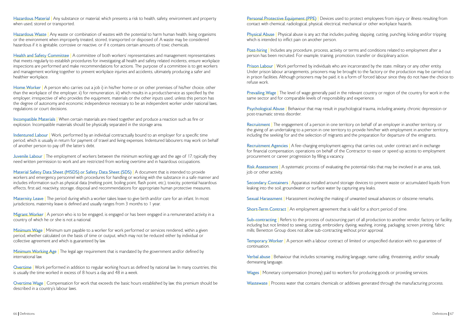Hazardous Material | Any substance or material, which presents a risk to health, safety, environment and property when used, stored or transported.

Hazardous Waste | Any waste or combination of wastes with the potential to harm human health, living organisms or the environment when improperly treated, stored, transported or disposed of. A waste may be considered hazardous if it is ignitable, corrosive or reactive, or if it contains certain amounts of toxic chemicals.

Health and Safety Committee | A committee of both workers' representatives and management representatives that meets regularly to establish procedures for investigating all health and safety related incidents, ensure workplace inspections are performed and make recommendations for actions. The purpose of a committee is to get workers and management working together to prevent workplace injuries and accidents, ultimately producing a safer and healthier workplace.

Home Worker | A person who carries out a job i) in his/her home or on other premises of his/her choice, other than the workplace of the employer, ii) for remuneration, iii) which results in a product/service as specified by the employer, irrespective of who provides the equipment, materials or the other inputs used, unless this person has the degree of autonomy and economic independence necessary to be an independent worker under national laws, regulations or court decisions.

Juvenile Labour | The employment of workers between the minimum working age and the age of 17; typically they need written permission to work and are restricted from working overtime and in hazardous occupations.

Material Safety Data Sheet (MSDS) or Safety Data Sheet (SDS) | A document that is intended to provide workers and emergency personnel with procedures for handling or working with the substance in a safe manner and includes information such as physical data (melting point, boiling point, flash point, etc.), toxicity, potential hazardous effects, first aid, reactivity, storage, disposal and recommendations for appropriate human protective measures.

Maternity Leave | The period during which a worker takes leave to give birth and/or care for an infant. In most jurisdictions, maternity leave is defined and usually ranges from 3 months to 1 year.

Migrant Worker | A person who is to be engaged, is engaged or has been engaged in a remunerated activity in a country of which he or she is not a national.

Incompatible Materials | When certain materials are mixed together and produce a reaction such as fire or explosion. Incompatible materials should be physically separated in the storage area.

Minimum Wage | Minimum sum payable to a worker for work performed or services rendered, within a given period, whether calculated on the basis of time or output, which may not be reduced either by individual or collective agreement and which is guaranteed by law.

Minimum Working Age | The legal age requirement that is mandated by the government and/or defined by international law.

Overtime | Work performed in addition to regular working hours as defined by national law. In many countries, this is usually the time worked in excess of 8 hours a day and 48 in a week.

Indentured Labour | Work, performed by an individual contractually bound to an employer for a specific time period, which is usually in return for payment of travel and living expenses. Indentured labourers may work on behalf of another person to pay off the latter's debt.

Overtime Wage | Compensation for work that exceeds the basic hours established by law; this premium should be described in a country's labour laws.

Personal Protective Equipment (PPE) | Devices used to protect employees from injury or illness resulting from contact with chemical, radiological, physical, electrical, mechanical or other workplace hazards.

**Prison Labour | Work performed by individuals who are incarcerated by the state, military or any other entity.** Under prison labour arrangements, prisoners may be brought to the factory or the production may be carried out in prison facilities. Although prisoners may be paid, it is a form of forced labour since they do not have the choice to refuse work.

Prevailing Wage | The level of wage generally paid in the relevant country or region of the country for work in the same sector and for comparable levels of responsibility and experience.

Psychological Abuse | Behaviour that may result in psychological trauma, including anxiety, chronic depression or post-traumatic stress disorder.

Recruitment | The engagement of a person in one territory on behalf of an employer in another territory, or the giving of an undertaking to a person in one territory to provide him/her with employment in another territory, including the seeking for and the selection of migrants and the preparation for departure of the emigrants.

Recruitment Agencies | A fee-charging employment agency that carries out, under contract and in exchange for financial compensation, operations on behalf of the Contractor to ease or speed up access to employment procurement or career progression by filling a vacancy.

Risk Assessment | A systematic process of evaluating the potential risks that may be involved in an area, task, job or other activity.

Secondary Containers | Apparatus installed around storage devices to prevent waste or accumulated liquids from leaking into the soil, groundwater or surface water by capturing any leaks.

Sexual Harassment | Harassment involving the making of unwanted sexual advances or obscene remarks.

Sub-contracting | Refers to the process of outsourcing part of all production to another vendor, factory or facility, including but not limited to sewing, cutting, embroidery, dyeing, washing, ironing, packaging, screen printing, fabric mills; Benetton Group does not allow sub-contracting without prior approval.

Temporary Worker | A person with a labour contract of limited or unspecified duration with no guarantee of continuation.

Verbal abuse | Behaviour that includes screaming, insulting language, name calling, threatening, and/or sexually demeaning language.

Physical Abuse | Physical abuse is any act that includes pushing, slapping, cutting, punching, kicking and/or tripping which is intended to inflict pain on another person.

Post-hiring | Includes any procedure, process, activity or terms and conditions related to employment after a person has been recruited. For example, training, promotion, transfer or disciplinary action.

Short-Term Contract | An employment agreement that is valid for a short period of time.

Wages | Monetary compensation (money) paid to workers for producing goods or providing services.

Wastewate | Process water that contains chemicals or additives generated through the manufacturing process.